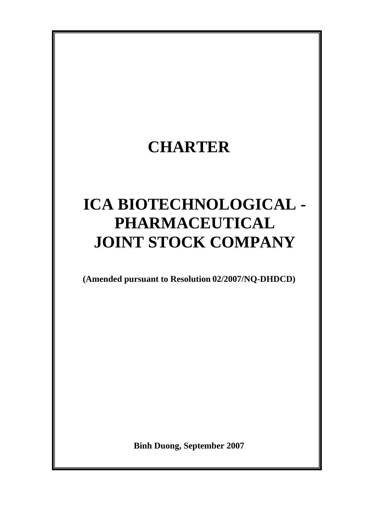# **CHARTER**

# **ICA BIOTECHNOLOGICAL - PHARMACEUTICAL JOINT STOCK COMPANY**

**(Amended pursuant to Resolution 02/2007/NQ-DHDCD)** 

**Binh Duong, September 2007**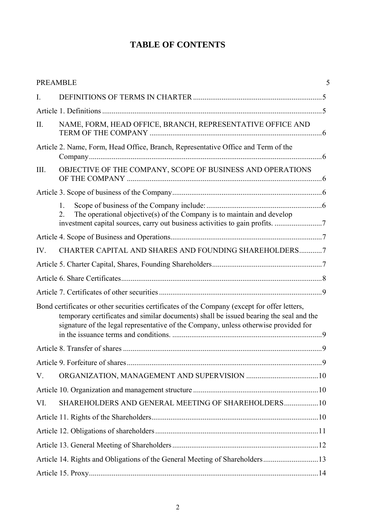# **TABLE OF CONTENTS**

|      | <b>PREAMBLE</b>                                                                                                                                                                                                                                                               | 5 |  |
|------|-------------------------------------------------------------------------------------------------------------------------------------------------------------------------------------------------------------------------------------------------------------------------------|---|--|
| I.   |                                                                                                                                                                                                                                                                               |   |  |
|      |                                                                                                                                                                                                                                                                               |   |  |
| II.  | NAME, FORM, HEAD OFFICE, BRANCH, REPRESENTATIVE OFFICE AND                                                                                                                                                                                                                    |   |  |
|      | Article 2. Name, Form, Head Office, Branch, Representative Office and Term of the                                                                                                                                                                                             |   |  |
| III. | OBJECTIVE OF THE COMPANY, SCOPE OF BUSINESS AND OPERATIONS                                                                                                                                                                                                                    |   |  |
|      |                                                                                                                                                                                                                                                                               |   |  |
|      | $\mathbf{1}$ .<br>The operational objective(s) of the Company is to maintain and develop<br>$\overline{2}$ .                                                                                                                                                                  |   |  |
|      |                                                                                                                                                                                                                                                                               |   |  |
| IV.  | CHARTER CAPITAL AND SHARES AND FOUNDING SHAREHOLDERS7                                                                                                                                                                                                                         |   |  |
|      |                                                                                                                                                                                                                                                                               |   |  |
|      |                                                                                                                                                                                                                                                                               |   |  |
|      |                                                                                                                                                                                                                                                                               |   |  |
|      | Bond certificates or other securities certificates of the Company (except for offer letters,<br>temporary certificates and similar documents) shall be issued bearing the seal and the<br>signature of the legal representative of the Company, unless otherwise provided for |   |  |
|      |                                                                                                                                                                                                                                                                               |   |  |
|      |                                                                                                                                                                                                                                                                               |   |  |
| V.   |                                                                                                                                                                                                                                                                               |   |  |
|      |                                                                                                                                                                                                                                                                               |   |  |
| VI.  | SHAREHOLDERS AND GENERAL MEETING OF SHAREHOLDERS 10                                                                                                                                                                                                                           |   |  |
|      |                                                                                                                                                                                                                                                                               |   |  |
|      |                                                                                                                                                                                                                                                                               |   |  |
|      |                                                                                                                                                                                                                                                                               |   |  |
|      | Article 14. Rights and Obligations of the General Meeting of Shareholders13                                                                                                                                                                                                   |   |  |
|      |                                                                                                                                                                                                                                                                               |   |  |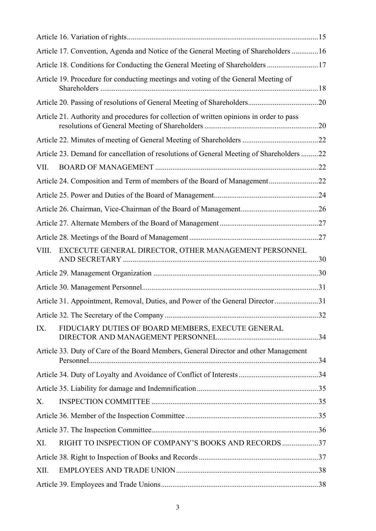|       | Article 17. Convention, Agenda and Notice of the General Meeting of Shareholders  16     |  |
|-------|------------------------------------------------------------------------------------------|--|
|       | Article 18. Conditions for Conducting the General Meeting of Shareholders 17             |  |
|       | Article 19. Procedure for conducting meetings and voting of the General Meeting of       |  |
|       |                                                                                          |  |
|       | Article 21. Authority and procedures for collection of written opinions in order to pass |  |
|       |                                                                                          |  |
|       | Article 23. Demand for cancellation of resolutions of General Meeting of Shareholders 22 |  |
| VII.  |                                                                                          |  |
|       | Article 24. Composition and Term of members of the Board of Management22                 |  |
|       |                                                                                          |  |
|       |                                                                                          |  |
|       |                                                                                          |  |
|       |                                                                                          |  |
| VIII. | EXCECUTE GENERAL DIRECTOR, OTHER MANAGEMENT PERSONNEL                                    |  |
|       |                                                                                          |  |
|       |                                                                                          |  |
|       | Article 31. Appointment, Removal, Duties, and Power of the General Director31            |  |
|       |                                                                                          |  |
| IX.   | FIDUCIARY DUTIES OF BOARD MEMBERS, EXECUTE GENERAL                                       |  |
|       | Article 33. Duty of Care of the Board Members, General Director and other Management     |  |
|       |                                                                                          |  |
|       |                                                                                          |  |
| Χ.    |                                                                                          |  |
|       |                                                                                          |  |
|       |                                                                                          |  |
| XI.   | RIGHT TO INSPECTION OF COMPANY'S BOOKS AND RECORDS 37                                    |  |
|       |                                                                                          |  |
| XII.  |                                                                                          |  |
|       |                                                                                          |  |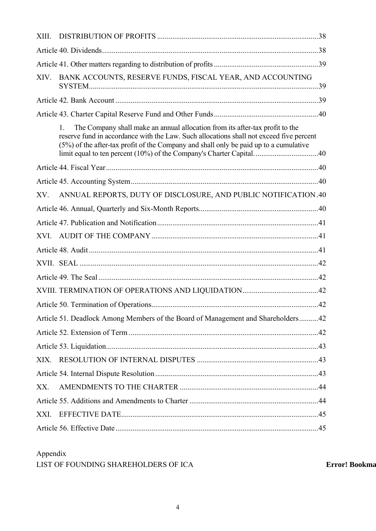| XIII. |                                                                                                                                                                                                                                                                             |  |
|-------|-----------------------------------------------------------------------------------------------------------------------------------------------------------------------------------------------------------------------------------------------------------------------------|--|
|       |                                                                                                                                                                                                                                                                             |  |
|       |                                                                                                                                                                                                                                                                             |  |
| XIV.  | BANK ACCOUNTS, RESERVE FUNDS, FISCAL YEAR, AND ACCOUNTING                                                                                                                                                                                                                   |  |
|       |                                                                                                                                                                                                                                                                             |  |
|       |                                                                                                                                                                                                                                                                             |  |
|       | The Company shall make an annual allocation from its after-tax profit to the<br>$1_{-}$<br>reserve fund in accordance with the Law. Such allocations shall not exceed five percent<br>(5%) of the after-tax profit of the Company and shall only be paid up to a cumulative |  |
|       |                                                                                                                                                                                                                                                                             |  |
|       |                                                                                                                                                                                                                                                                             |  |
| XV.   | ANNUAL REPORTS, DUTY OF DISCLOSURE, AND PUBLIC NOTIFICATION.40                                                                                                                                                                                                              |  |
|       |                                                                                                                                                                                                                                                                             |  |
|       |                                                                                                                                                                                                                                                                             |  |
|       |                                                                                                                                                                                                                                                                             |  |
|       |                                                                                                                                                                                                                                                                             |  |
|       |                                                                                                                                                                                                                                                                             |  |
|       |                                                                                                                                                                                                                                                                             |  |
|       |                                                                                                                                                                                                                                                                             |  |
|       |                                                                                                                                                                                                                                                                             |  |
|       | Article 51. Deadlock Among Members of the Board of Management and Shareholders 42                                                                                                                                                                                           |  |
|       |                                                                                                                                                                                                                                                                             |  |
|       |                                                                                                                                                                                                                                                                             |  |
|       |                                                                                                                                                                                                                                                                             |  |
|       |                                                                                                                                                                                                                                                                             |  |
| XX.   |                                                                                                                                                                                                                                                                             |  |
|       |                                                                                                                                                                                                                                                                             |  |
| XXI.  |                                                                                                                                                                                                                                                                             |  |
|       |                                                                                                                                                                                                                                                                             |  |

# Appendix

LIST OF FOUNDING SHAREHOLDERS OF ICA **Error! Bookma**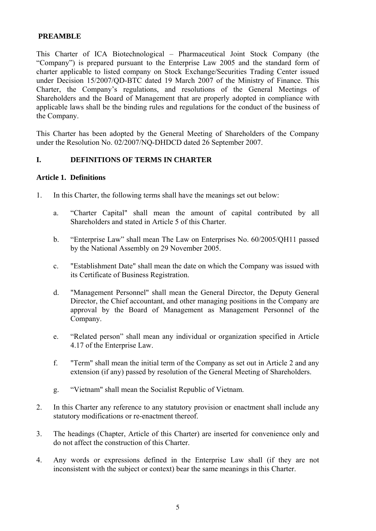#### <span id="page-4-0"></span> **PREAMBLE**

This Charter of ICA Biotechnological – Pharmaceutical Joint Stock Company (the "Company") is prepared pursuant to the Enterprise Law 2005 and the standard form of charter applicable to listed company on Stock Exchange/Securities Trading Center issued under Decision 15/2007/QD-BTC dated 19 March 2007 of the Ministry of Finance. This Charter, the Company's regulations, and resolutions of the General Meetings of Shareholders and the Board of Management that are properly adopted in compliance with applicable laws shall be the binding rules and regulations for the conduct of the business of the Company.

This Charter has been adopted by the General Meeting of Shareholders of the Company under the Resolution No. 02/2007/NQ-DHDCD dated 26 September 2007.

#### **I. DEFINITIONS OF TERMS IN CHARTER**

# **Article 1. Definitions**

- 1. In this Charter, the following terms shall have the meanings set out below:
	- a. "Charter Capital" shall mean the amount of capital contributed by all Shareholders and stated in Article 5 of this Charter.
	- b. "Enterprise Law" shall mean The Law on Enterprises No. 60/2005/QH11 passed by the National Assembly on 29 November 2005.
	- c. "Establishment Date" shall mean the date on which the Company was issued with its Certificate of Business Registration.
	- d. "Management Personnel" shall mean the General Director, the Deputy General Director, the Chief accountant, and other managing positions in the Company are approval by the Board of Management as Management Personnel of the Company.
	- e. "Related person" shall mean any individual or organization specified in Article 4.17 of the Enterprise Law.
	- f. "Term" shall mean the initial term of the Company as set out in Article 2 and any extension (if any) passed by resolution of the General Meeting of Shareholders.
	- g. "Vietnam" shall mean the Socialist Republic of Vietnam.
- 2. In this Charter any reference to any statutory provision or enactment shall include any statutory modifications or re-enactment thereof.
- 3. The headings (Chapter, Article of this Charter) are inserted for convenience only and do not affect the construction of this Charter.
- 4. Any words or expressions defined in the Enterprise Law shall (if they are not inconsistent with the subject or context) bear the same meanings in this Charter.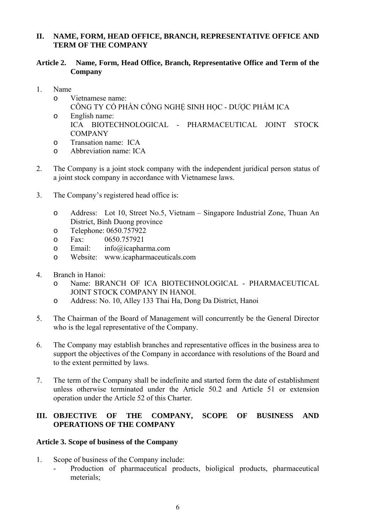# <span id="page-5-0"></span>**II. NAME, FORM, HEAD OFFICE, BRANCH, REPRESENTATIVE OFFICE AND TERM OF THE COMPANY**

# **Article 2. Name, Form, Head Office, Branch, Representative Office and Term of the Company**

- 1. Name
	- o Vietnamese name: CÔNG TY CỔ PHẦN CÔNG NGHẾ SINH HỌC - DƯỢC PHẦM ICA
	- o English name: ICA BIOTECHNOLOGICAL - PHARMACEUTICAL JOINT STOCK COMPANY
	- o Transation name: ICA
	- o Abbreviation name: ICA
- 2. The Company is a joint stock company with the independent juridical person status of a joint stock company in accordance with Vietnamese laws.
- 3. The Company's registered head office is:
	- o Address: Lot 10, Street No.5, Vietnam Singapore Industrial Zone, Thuan An District, Binh Duong province
	- o Telephone: 0650.757922
	- o Fax: 0650.757921
	- o Email: info@icapharma.com
	- o Website: [www.icapharmaceuticals.com](http://www.icapharmaceuticals.com/)
- 4. Branch in Hanoi:
	- o Name: BRANCH OF ICA BIOTECHNOLOGICAL PHARMACEUTICAL JOINT STOCK COMPANY IN HANOI.
	- o Address: No. 10, Alley 133 Thai Ha, Dong Da District, Hanoi
- 5. The Chairman of the Board of Management will concurrently be the General Director who is the legal representative of the Company.
- 6. The Company may establish branches and representative offices in the business area to support the objectives of the Company in accordance with resolutions of the Board and to the extent permitted by laws.
- 7. The term of the Company shall be indefinite and started form the date of establishment unless otherwise terminated under the Article 50.2 and Article 51 or extension operation under the Article 52 of this Charter.

# **III. OBJECTIVE OF THE COMPANY, SCOPE OF BUSINESS AND OPERATIONS OF THE COMPANY**

# **Article 3. Scope of business of the Company**

- 1. Scope of business of the Company include:
	- Production of pharmaceutical products, bioligical products, pharmaceutical meterials;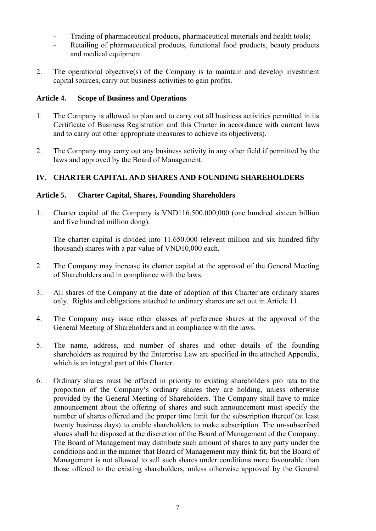- <span id="page-6-0"></span>- Trading of pharmaceutical products, pharmaceutical meterials and health tools;
- Retailing of pharmaceutical products, functional food products, beauty products and medical equipment.
- 2. The operational objective(s) of the Company is to maintain and develop investment capital sources, carry out business activities to gain profits.

# **Article 4. Scope of Business and Operations**

- 1. The Company is allowed to plan and to carry out all business activities permitted in its Certificate of Business Registration and this Charter in accordance with current laws and to carry out other appropriate measures to achieve its objective(s).
- 2. The Company may carry out any business activity in any other field if permitted by the laws and approved by the Board of Management.

# **IV. CHARTER CAPITAL AND SHARES AND FOUNDING SHAREHOLDERS**

# **Article 5. Charter Capital, Shares, Founding Shareholders**

1. Charter capital of the Company is VND116,500,000,000 (one hundred sixteen billion and five hundred million dong).

The charter capital is divided into 11.650.000 (elevent million and six hundred fifty thousand) shares with a par value of VND10,000 each.

- 2. The Company may increase its charter capital at the approval of the General Meeting of Shareholders and in compliance with the laws.
- 3. All shares of the Company at the date of adoption of this Charter are ordinary shares only. Rights and obligations attached to ordinary shares are set out in Article 11.
- 4. The Company may issue other classes of preference shares at the approval of the General Meeting of Shareholders and in compliance with the laws.
- 5. The name, address, and number of shares and other details of the founding shareholders as required by the Enterprise Law are specified in the attached Appendix, which is an integral part of this Charter.
- 6. Ordinary shares must be offered in priority to existing shareholders pro rata to the proportion of the Company's ordinary shares they are holding, unless otherwise provided by the General Meeting of Shareholders. The Company shall have to make announcement about the offering of shares and such announcement must specify the number of shares offered and the proper time limit for the subscription thereof (at least twenty business days) to enable shareholders to make subscription. The un-subscribed shares shall be disposed at the discretion of the Board of Management of the Company. The Board of Management may distribute such amount of shares to any party under the conditions and in the manner that Board of Management may think fit, but the Board of Management is not allowed to sell such shares under conditions more favourable than those offered to the existing shareholders, unless otherwise approved by the General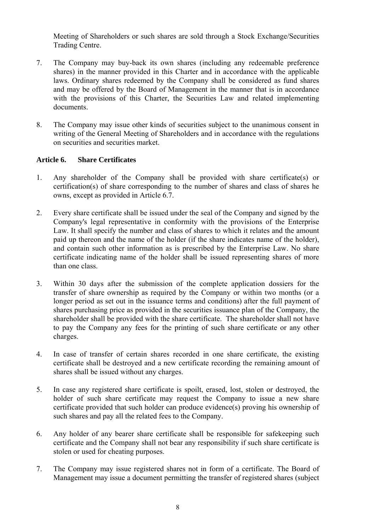<span id="page-7-0"></span>Meeting of Shareholders or such shares are sold through a Stock Exchange/Securities Trading Centre.

- 7. The Company may buy-back its own shares (including any redeemable preference shares) in the manner provided in this Charter and in accordance with the applicable laws. Ordinary shares redeemed by the Company shall be considered as fund shares and may be offered by the Board of Management in the manner that is in accordance with the provisions of this Charter, the Securities Law and related implementing documents.
- 8. The Company may issue other kinds of securities subject to the unanimous consent in writing of the General Meeting of Shareholders and in accordance with the regulations on securities and securities market.

#### **Article 6. Share Certificates**

- 1. Any shareholder of the Company shall be provided with share certificate(s) or certification(s) of share corresponding to the number of shares and class of shares he owns, except as provided in Article 6.7.
- 2. Every share certificate shall be issued under the seal of the Company and signed by the Company's legal representative in conformity with the provisions of the Enterprise Law. It shall specify the number and class of shares to which it relates and the amount paid up thereon and the name of the holder (if the share indicates name of the holder), and contain such other information as is prescribed by the Enterprise Law. No share certificate indicating name of the holder shall be issued representing shares of more than one class.
- 3. Within 30 days after the submission of the complete application dossiers for the transfer of share ownership as required by the Company or within two months (or a longer period as set out in the issuance terms and conditions) after the full payment of shares purchasing price as provided in the securities issuance plan of the Company, the shareholder shall be provided with the share certificate. The shareholder shall not have to pay the Company any fees for the printing of such share certificate or any other charges.
- 4. In case of transfer of certain shares recorded in one share certificate, the existing certificate shall be destroyed and a new certificate recording the remaining amount of shares shall be issued without any charges.
- 5. In case any registered share certificate is spoilt, erased, lost, stolen or destroyed, the holder of such share certificate may request the Company to issue a new share certificate provided that such holder can produce evidence(s) proving his ownership of such shares and pay all the related fees to the Company.
- 6. Any holder of any bearer share certificate shall be responsible for safekeeping such certificate and the Company shall not bear any responsibility if such share certificate is stolen or used for cheating purposes.
- 7. The Company may issue registered shares not in form of a certificate. The Board of Management may issue a document permitting the transfer of registered shares (subject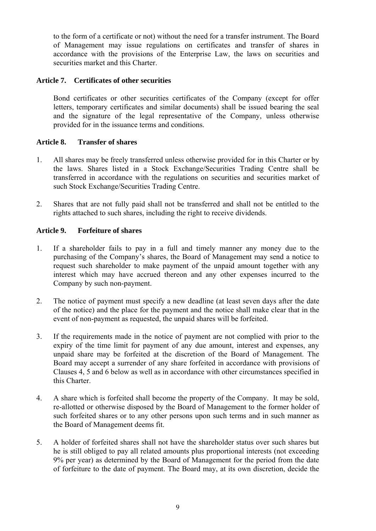<span id="page-8-0"></span>to the form of a certificate or not) without the need for a transfer instrument. The Board of Management may issue regulations on certificates and transfer of shares in accordance with the provisions of the Enterprise Law, the laws on securities and securities market and this Charter.

#### **Article 7. Certificates of other securities**

Bond certificates or other securities certificates of the Company (except for offer letters, temporary certificates and similar documents) shall be issued bearing the seal and the signature of the legal representative of the Company, unless otherwise provided for in the issuance terms and conditions.

#### **Article 8. Transfer of shares**

- 1. All shares may be freely transferred unless otherwise provided for in this Charter or by the laws. Shares listed in a Stock Exchange/Securities Trading Centre shall be transferred in accordance with the regulations on securities and securities market of such Stock Exchange/Securities Trading Centre.
- 2. Shares that are not fully paid shall not be transferred and shall not be entitled to the rights attached to such shares, including the right to receive dividends.

#### **Article 9. Forfeiture of shares**

- 1. If a shareholder fails to pay in a full and timely manner any money due to the purchasing of the Company's shares, the Board of Management may send a notice to request such shareholder to make payment of the unpaid amount together with any interest which may have accrued thereon and any other expenses incurred to the Company by such non-payment.
- 2. The notice of payment must specify a new deadline (at least seven days after the date of the notice) and the place for the payment and the notice shall make clear that in the event of non-payment as requested, the unpaid shares will be forfeited.
- 3. If the requirements made in the notice of payment are not complied with prior to the expiry of the time limit for payment of any due amount, interest and expenses, any unpaid share may be forfeited at the discretion of the Board of Management. The Board may accept a surrender of any share forfeited in accordance with provisions of Clauses 4, 5 and 6 below as well as in accordance with other circumstances specified in this Charter.
- 4. A share which is forfeited shall become the property of the Company. It may be sold, re-allotted or otherwise disposed by the Board of Management to the former holder of such forfeited shares or to any other persons upon such terms and in such manner as the Board of Management deems fit.
- 5. A holder of forfeited shares shall not have the shareholder status over such shares but he is still obliged to pay all related amounts plus proportional interests (not exceeding 9% per year) as determined by the Board of Management for the period from the date of forfeiture to the date of payment. The Board may, at its own discretion, decide the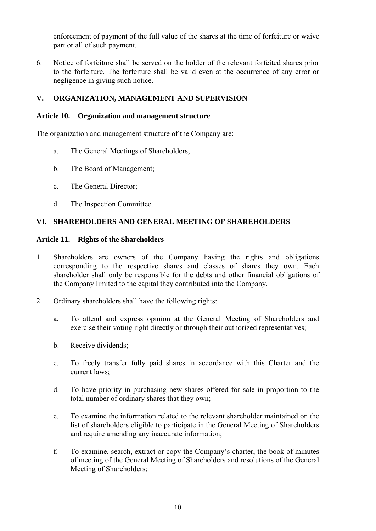<span id="page-9-0"></span>enforcement of payment of the full value of the shares at the time of forfeiture or waive part or all of such payment.

6. Notice of forfeiture shall be served on the holder of the relevant forfeited shares prior to the forfeiture. The forfeiture shall be valid even at the occurrence of any error or negligence in giving such notice.

# **V. ORGANIZATION, MANAGEMENT AND SUPERVISION**

# **Article 10. Organization and management structure**

The organization and management structure of the Company are:

- a. The General Meetings of Shareholders;
- b. The Board of Management;
- c. The General Director;
- d. The Inspection Committee.

# **VI. SHAREHOLDERS AND GENERAL MEETING OF SHAREHOLDERS**

# **Article 11. Rights of the Shareholders**

- 1. Shareholders are owners of the Company having the rights and obligations corresponding to the respective shares and classes of shares they own. Each shareholder shall only be responsible for the debts and other financial obligations of the Company limited to the capital they contributed into the Company.
- 2. Ordinary shareholders shall have the following rights:
	- a. To attend and express opinion at the General Meeting of Shareholders and exercise their voting right directly or through their authorized representatives;
	- b. Receive dividends;
	- c. To freely transfer fully paid shares in accordance with this Charter and the current laws;
	- d. To have priority in purchasing new shares offered for sale in proportion to the total number of ordinary shares that they own;
	- e. To examine the information related to the relevant shareholder maintained on the list of shareholders eligible to participate in the General Meeting of Shareholders and require amending any inaccurate information;
	- f. To examine, search, extract or copy the Company's charter, the book of minutes of meeting of the General Meeting of Shareholders and resolutions of the General Meeting of Shareholders;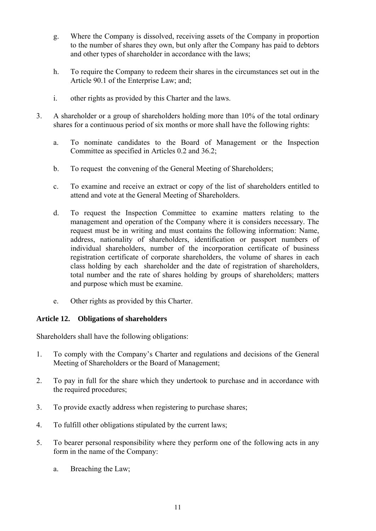- <span id="page-10-0"></span>g. Where the Company is dissolved, receiving assets of the Company in proportion to the number of shares they own, but only after the Company has paid to debtors and other types of shareholder in accordance with the laws;
- h. To require the Company to redeem their shares in the circumstances set out in the Article 90.1 of the Enterprise Law; and;
- i. other rights as provided by this Charter and the laws.
- 3. A shareholder or a group of shareholders holding more than 10% of the total ordinary shares for a continuous period of six months or more shall have the following rights:
	- a. To nominate candidates to the Board of Management or the Inspection Committee as specified in Articles [0.](#page-21-1)[2](#page-22-0) and 36.[2;](#page-35-1)
	- b. To request the convening of the General Meeting of Shareholders;
	- c. To examine and receive an extract or copy of the list of shareholders entitled to attend and vote at the General Meeting of Shareholders.
	- d. To request the Inspection Committee to examine matters relating to the management and operation of the Company where it is considers necessary. The request must be in writing and must contains the following information: Name, address, nationality of shareholders, identification or passport numbers of individual shareholders, number of the incorporation certificate of business registration certificate of corporate shareholders, the volume of shares in each class holding by each shareholder and the date of registration of shareholders, total number and the rate of shares holding by groups of shareholders; matters and purpose which must be examine.
	- e. Other rights as provided by this Charter.

# **Article 12. Obligations of shareholders**

Shareholders shall have the following obligations:

- 1. To comply with the Company's Charter and regulations and decisions of the General Meeting of Shareholders or the Board of Management;
- 2. To pay in full for the share which they undertook to purchase and in accordance with the required procedures;
- 3. To provide exactly address when registering to purchase shares;
- 4. To fulfill other obligations stipulated by the current laws;
- 5. To bearer personal responsibility where they perform one of the following acts in any form in the name of the Company:
	- a. Breaching the Law;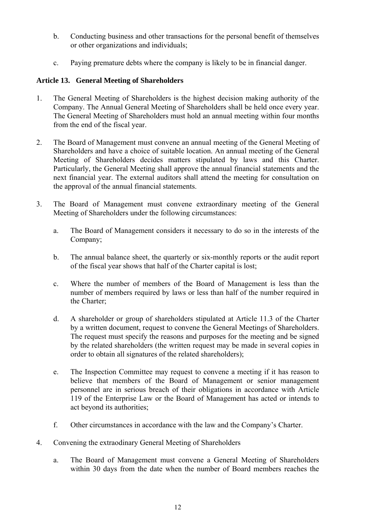- <span id="page-11-0"></span>b. Conducting business and other transactions for the personal benefit of themselves or other organizations and individuals;
- c. Paying premature debts where the company is likely to be in financial danger.

# **Article 13. General Meeting of Shareholders**

- 1. The General Meeting of Shareholders is the highest decision making authority of the Company. The Annual General Meeting of Shareholders shall be held once every year. The General Meeting of Shareholders must hold an annual meeting within four months from the end of the fiscal year.
- 2. The Board of Management must convene an annual meeting of the General Meeting of Shareholders and have a choice of suitable location. An annual meeting of the General Meeting of Shareholders decides matters stipulated by laws and this Charter. Particularly, the General Meeting shall approve the annual financial statements and the next financial year. The external auditors shall attend the meeting for consultation on the approval of the annual financial statements.
- 3. The Board of Management must convene extraordinary meeting of the General Meeting of Shareholders under the following circumstances:
	- a. The Board of Management considers it necessary to do so in the interests of the Company;
	- b. The annual balance sheet, the quarterly or six-monthly reports or the audit report of the fiscal year shows that half of the Charter capital is lost;
	- c. Where the number of members of the Board of Management is less than the number of members required by laws or less than half of the number required in the Charter;
	- d. A shareholder or group of shareholders stipulated at Article 11.3 of the Charter by a written document, request to convene the General Meetings of Shareholders. The request must specify the reasons and purposes for the meeting and be signed by the related shareholders (the written request may be made in several copies in order to obtain all signatures of the related shareholders);
	- e. The Inspection Committee may request to convene a meeting if it has reason to believe that members of the Board of Management or senior management personnel are in serious breach of their obligations in accordance with Article 119 of the Enterprise Law or the Board of Management has acted or intends to act beyond its authorities;
	- f. Other circumstances in accordance with the law and the Company's Charter.
- 4. Convening the extraodinary General Meeting of Shareholders
	- a. The Board of Management must convene a General Meeting of Shareholders within 30 days from the date when the number of Board members reaches the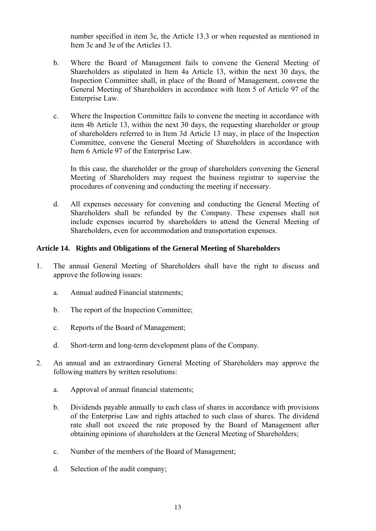<span id="page-12-0"></span>number specified in item 3c, the Article 13.3 or when requested as mentioned in Item 3c and 3e of the Articles 13.

- b. Where the Board of Management fails to convene the General Meeting of Shareholders as stipulated in Item 4a Article 13, within the next 30 days, the Inspection Committee shall, in place of the Board of Management, convene the General Meeting of Shareholders in accordance with Item 5 of Article 97 of the Enterprise Law.
- c. Where the Inspection Committee fails to convene the meeting in accordance with item 4b Article 13, within the next 30 days, the requesting shareholder or group of shareholders referred to in Item 3d Article 13 may, in place of the Inspection Committee, convene the General Meeting of Shareholders in accordance with Item 6 Article 97 of the Enterprise Law.

 In this case, the shareholder or the group of shareholders convening the General Meeting of Shareholders may request the business registrar to supervise the procedures of convening and conducting the meeting if necessary.

d. All expenses necessary for convening and conducting the General Meeting of Shareholders shall be refunded by the Company. These expenses shall not include expenses incurred by shareholders to attend the General Meeting of Shareholders, even for accommodation and transportation expenses.

#### **Article 14. Rights and Obligations of the General Meeting of Shareholders**

- 1. The annual General Meeting of Shareholders shall have the right to discuss and approve the following issues:
	- a. Annual audited Financial statements;
	- b. The report of the Inspection Committee;
	- c. Reports of the Board of Management;
	- d. Short-term and long-term development plans of the Company.
- 2. An annual and an extraordinary General Meeting of Shareholders may approve the following matters by written resolutions:
	- a. Approval of annual financial statements;
	- b. Dividends payable annually to each class of shares in accordance with provisions of the Enterprise Law and rights attached to such class of shares. The dividend rate shall not exceed the rate proposed by the Board of Management after obtaining opinions of shareholders at the General Meeting of Shareholders;
	- c. Number of the members of the Board of Management;
	- d. Selection of the audit company;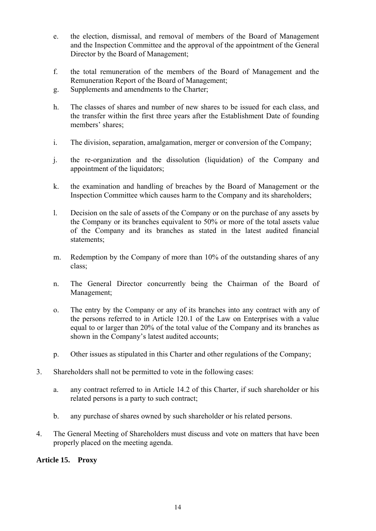- <span id="page-13-0"></span>e. the election, dismissal, and removal of members of the Board of Management and the Inspection Committee and the approval of the appointment of the General Director by the Board of Management;
- f. the total remuneration of the members of the Board of Management and the Remuneration Report of the Board of Management;
- g. Supplements and amendments to the Charter;
- h. The classes of shares and number of new shares to be issued for each class, and the transfer within the first three years after the Establishment Date of founding members' shares;
- i. The division, separation, amalgamation, merger or conversion of the Company;
- j. the re-organization and the dissolution (liquidation) of the Company and appointment of the liquidators;
- k. the examination and handling of breaches by the Board of Management or the Inspection Committee which causes harm to the Company and its shareholders;
- l. Decision on the sale of assets of the Company or on the purchase of any assets by the Company or its branches equivalent to 50% or more of the total assets value of the Company and its branches as stated in the latest audited financial statements;
- m. Redemption by the Company of more than 10% of the outstanding shares of any class;
- n. The General Director concurrently being the Chairman of the Board of Management;
- o. The entry by the Company or any of its branches into any contract with any of the persons referred to in Article 120.1 of the Law on Enterprises with a value equal to or larger than 20% of the total value of the Company and its branches as shown in the Company's latest audited accounts;
- p. Other issues as stipulated in this Charter and other regulations of the Company;
- 3. Shareholders shall not be permitted to vote in the following cases:
	- a. any contract referred to in Article 14.2 of this Charter, if such shareholder or his related persons is a party to such contract;
	- b. any purchase of shares owned by such shareholder or his related persons.
- 4. The General Meeting of Shareholders must discuss and vote on matters that have been properly placed on the meeting agenda.

# **Article 15. Proxy**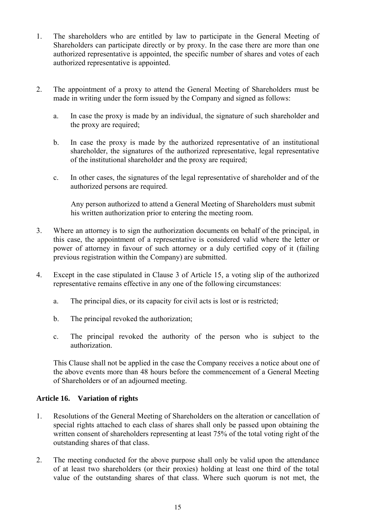- <span id="page-14-0"></span>1. The shareholders who are entitled by law to participate in the General Meeting of Shareholders can participate directly or by proxy. In the case there are more than one authorized representative is appointed, the specific number of shares and votes of each authorized representative is appointed.
- 2. The appointment of a proxy to attend the General Meeting of Shareholders must be made in writing under the form issued by the Company and signed as follows:
	- a. In case the proxy is made by an individual, the signature of such shareholder and the proxy are required;
	- b. In case the proxy is made by the authorized representative of an institutional shareholder, the signatures of the authorized representative, legal representative of the institutional shareholder and the proxy are required;
	- c. In other cases, the signatures of the legal representative of shareholder and of the authorized persons are required.

Any person authorized to attend a General Meeting of Shareholders must submit his written authorization prior to entering the meeting room.

- 3. Where an attorney is to sign the authorization documents on behalf of the principal, in this case, the appointment of a representative is considered valid where the letter or power of attorney in favour of such attorney or a duly certified copy of it (failing previous registration within the Company) are submitted.
- 4. Except in the case stipulated in Clause 3 of Article 15, a voting slip of the authorized representative remains effective in any one of the following circumstances:
	- a. The principal dies, or its capacity for civil acts is lost or is restricted;
	- b. The principal revoked the authorization;
	- c. The principal revoked the authority of the person who is subject to the authorization.

This Clause shall not be applied in the case the Company receives a notice about one of the above events more than 48 hours before the commencement of a General Meeting of Shareholders or of an adjourned meeting.

# **Article 16. Variation of rights**

- 1. Resolutions of the General Meeting of Shareholders on the alteration or cancellation of special rights attached to each class of shares shall only be passed upon obtaining the written consent of shareholders representing at least 75% of the total voting right of the outstanding shares of that class.
- 2. The meeting conducted for the above purpose shall only be valid upon the attendance of at least two shareholders (or their proxies) holding at least one third of the total value of the outstanding shares of that class. Where such quorum is not met, the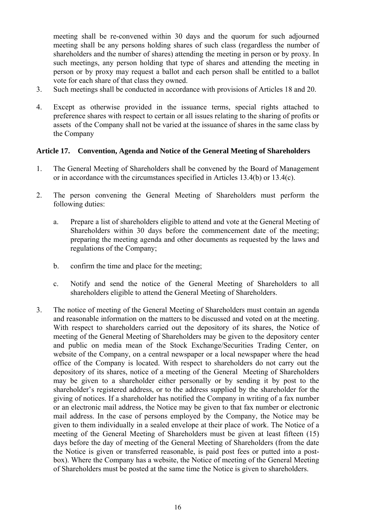<span id="page-15-0"></span>meeting shall be re-convened within 30 days and the quorum for such adjourned meeting shall be any persons holding shares of such class (regardless the number of shareholders and the number of shares) attending the meeting in person or by proxy. In such meetings, any person holding that type of shares and attending the meeting in person or by proxy may request a ballot and each person shall be entitled to a ballot vote for each share of that class they owned.

- 3. Such meetings shall be conducted in accordance with provisions of Articles 18 and 20.
- 4. Except as otherwise provided in the issuance terms, special rights attached to preference shares with respect to certain or all issues relating to the sharing of profits or assets of the Company shall not be varied at the issuance of shares in the same class by the Company

#### **Article 17. Convention, Agenda and Notice of the General Meeting of Shareholders**

- 1. The General Meeting of Shareholders shall be convened by the Board of Management or in accordance with the circumstances specified in Articles 13.4(b) or 13.4(c).
- 2. The person convening the General Meeting of Shareholders must perform the following duties:
	- a. Prepare a list of shareholders eligible to attend and vote at the General Meeting of Shareholders within 30 days before the commencement date of the meeting; preparing the meeting agenda and other documents as requested by the laws and regulations of the Company;
	- b. confirm the time and place for the meeting;
	- c. Notify and send the notice of the General Meeting of Shareholders to all shareholders eligible to attend the General Meeting of Shareholders.
- 3. The notice of meeting of the General Meeting of Shareholders must contain an agenda and reasonable information on the matters to be discussed and voted on at the meeting. With respect to shareholders carried out the depository of its shares, the Notice of meeting of the General Meeting of Shareholders may be given to the depository center and public on media mean of the Stock Exchange/Securities Trading Center, on website of the Company, on a central newspaper or a local newspaper where the head office of the Company is located. With respect to shareholders do not carry out the depository of its shares, notice of a meeting of the General Meeting of Shareholders may be given to a shareholder either personally or by sending it by post to the shareholder's registered address, or to the address supplied by the shareholder for the giving of notices. If a shareholder has notified the Company in writing of a fax number or an electronic mail address, the Notice may be given to that fax number or electronic mail address. In the case of persons employed by the Company, the Notice may be given to them individually in a sealed envelope at their place of work. The Notice of a meeting of the General Meeting of Shareholders must be given at least fifteen (15) days before the day of meeting of the General Meeting of Shareholders (from the date the Notice is given or transferred reasonable, is paid post fees or putted into a postbox). Where the Company has a website, the Notice of meeting of the General Meeting of Shareholders must be posted at the same time the Notice is given to shareholders.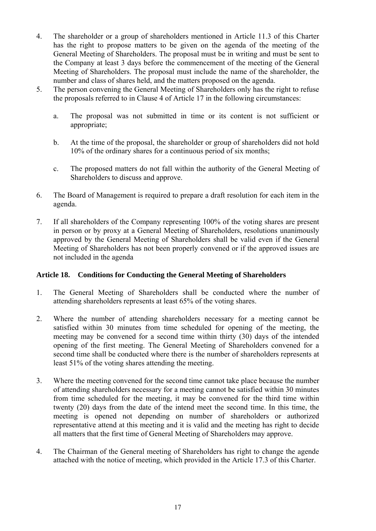- <span id="page-16-0"></span>4. The shareholder or a group of shareholders mentioned in Article 11.3 of this Charter has the right to propose matters to be given on the agenda of the meeting of the General Meeting of Shareholders. The proposal must be in writing and must be sent to the Company at least 3 days before the commencement of the meeting of the General Meeting of Shareholders. The proposal must include the name of the shareholder, the number and class of shares held, and the matters proposed on the agenda.
- 5. The person convening the General Meeting of Shareholders only has the right to refuse the proposals referred to in Clause 4 of Article 17 in the following circumstances:
	- a. The proposal was not submitted in time or its content is not sufficient or appropriate;
	- b. At the time of the proposal, the shareholder or group of shareholders did not hold 10% of the ordinary shares for a continuous period of six months;
	- c. The proposed matters do not fall within the authority of the General Meeting of Shareholders to discuss and approve.
- 6. The Board of Management is required to prepare a draft resolution for each item in the agenda.
- 7. If all shareholders of the Company representing 100% of the voting shares are present in person or by proxy at a General Meeting of Shareholders, resolutions unanimously approved by the General Meeting of Shareholders shall be valid even if the General Meeting of Shareholders has not been properly convened or if the approved issues are not included in the agenda

# **Article 18. Conditions for Conducting the General Meeting of Shareholders**

- 1. The General Meeting of Shareholders shall be conducted where the number of attending shareholders represents at least 65% of the voting shares.
- 2. Where the number of attending shareholders necessary for a meeting cannot be satisfied within 30 minutes from time scheduled for opening of the meeting, the meeting may be convened for a second time within thirty (30) days of the intended opening of the first meeting. The General Meeting of Shareholders convened for a second time shall be conducted where there is the number of shareholders represents at least 51% of the voting shares attending the meeting.
- 3. Where the meeting convened for the second time cannot take place because the number of attending shareholders necessary for a meeting cannot be satisfied within 30 minutes from time scheduled for the meeting, it may be convened for the third time within twenty (20) days from the date of the intend meet the second time. In this time, the meeting is opened not depending on number of shareholders or authorized representative attend at this meeting and it is valid and the meeting has right to decide all matters that the first time of General Meeting of Shareholders may approve.
- 4. The Chairman of the General meeting of Shareholders has right to change the agende attached with the notice of meeting, which provided in the Article 17.3 of this Charter.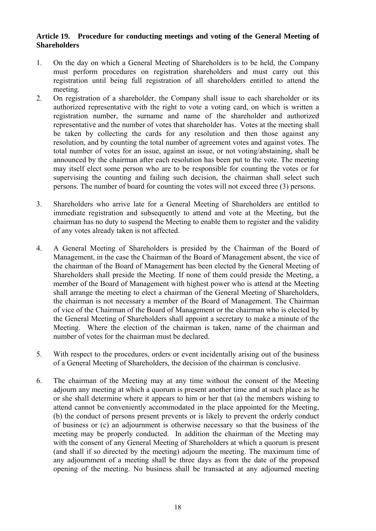#### <span id="page-17-0"></span>**Article 19. Procedure for conducting meetings and voting of the General Meeting of Shareholders**

- 1. On the day on which a General Meeting of Shareholders is to be held, the Company must perform procedures on registration shareholders and must carry out this registration until being full registration of all shareholders entitled to attend the meeting.
- 2. On registration of a shareholder, the Company shall issue to each shareholder or its authorized representative with the right to vote a voting card, on which is written a registration number, the surname and name of the shareholder and authorized representative and the number of votes that shareholder has. Votes at the meeting shall be taken by collecting the cards for any resolution and then those against any resolution, and by counting the total number of agreement votes and against votes. The total number of votes for an issue, against an issue, or not voting/abstaining, shall be announced by the chairman after each resolution has been put to the vote. The meeting may itself elect some person who are to be responsible for counting the votes or for supervising the counting and failing such decision, the chairman shall select such persons. The number of board for counting the votes will not exceed three (3) persons.
- 3. Shareholders who arrive late for a General Meeting of Shareholders are entitled to immediate registration and subsequently to attend and vote at the Meeting, but the chairman has no duty to suspend the Meeting to enable them to register and the validity of any votes already taken is not affected.
- 4. A General Meeting of Shareholders is presided by the Chairman of the Board of Management, in the case the Chairman of the Board of Management absent, the vice of the chairman of the Board of Management has been elected by the General Meeting of Shareholders shall preside the Meeting. If none of them could preside the Meeting, a member of the Board of Management with highest power who is attend at the Meeting shall arrange the meeting to elect a chairman of the General Meeting of Shareholders, the chairman is not necessary a member of the Board of Management. The Chairman of vice of the Chairman of the Board of Management or the chairman who is elected by the General Meeting of Shareholders shall appoint a secretary to make a minute of the Meeting. Where the election of the chairman is taken, name of the chairman and number of votes for the chairman must be declared.
- 5. With respect to the procedures, orders or event incidentally arising out of the business of a General Meeting of Shareholders, the decision of the chairman is conclusive.
- 6. The chairman of the Meeting may at any time without the consent of the Meeting adjourn any meeting at which a quorum is present another time and at such place as he or she shall determine where it appears to him or her that (a) the members wishing to attend cannot be conveniently accommodated in the place appointed for the Meeting, (b) the conduct of persons present prevents or is likely to prevent the orderly conduct of business or (c) an adjournment is otherwise necessary so that the business of the meeting may be properly conducted. In addition the chairman of the Meeting may with the consent of any General Meeting of Shareholders at which a quorum is present (and shall if so directed by the meeting) adjourn the meeting. The maximum time of any adjournment of a meeting shall be three days as from the date of the proposed opening of the meeting. No business shall be transacted at any adjourned meeting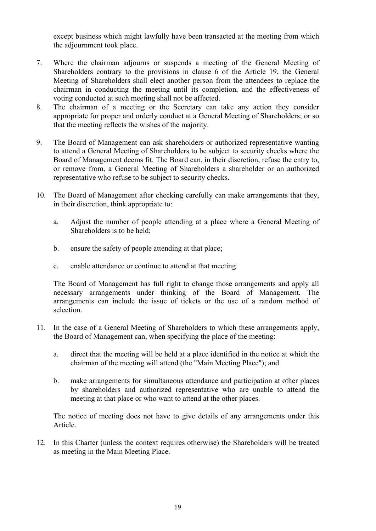except business which might lawfully have been transacted at the meeting from which the adjournment took place.

- 7. Where the chairman adjourns or suspends a meeting of the General Meeting of Shareholders contrary to the provisions in clause 6 of the Article 19, the General Meeting of Shareholders shall elect another person from the attendees to replace the chairman in conducting the meeting until its completion, and the effectiveness of voting conducted at such meeting shall not be affected.
- 8. The chairman of a meeting or the Secretary can take any action they consider appropriate for proper and orderly conduct at a General Meeting of Shareholders; or so that the meeting reflects the wishes of the majority.
- 9. The Board of Management can ask shareholders or authorized representative wanting to attend a General Meeting of Shareholders to be subject to security checks where the Board of Management deems fit. The Board can, in their discretion, refuse the entry to, or remove from, a General Meeting of Shareholders a shareholder or an authorized representative who refuse to be subject to security checks.
- 10. The Board of Management after checking carefully can make arrangements that they, in their discretion, think appropriate to:
	- a. Adjust the number of people attending at a place where a General Meeting of Shareholders is to be held;
	- b. ensure the safety of people attending at that place;
	- c. enable attendance or continue to attend at that meeting.

 The Board of Management has full right to change those arrangements and apply all necessary arrangements under thinking of the Board of Management. The arrangements can include the issue of tickets or the use of a random method of selection.

- 11. In the case of a General Meeting of Shareholders to which these arrangements apply, the Board of Management can, when specifying the place of the meeting:
	- a. direct that the meeting will be held at a place identified in the notice at which the chairman of the meeting will attend (the "Main Meeting Place"); and
	- b. make arrangements for simultaneous attendance and participation at other places by shareholders and authorized representative who are unable to attend the meeting at that place or who want to attend at the other places.

The notice of meeting does not have to give details of any arrangements under this Article.

12. In this Charter (unless the context requires otherwise) the Shareholders will be treated as meeting in the Main Meeting Place.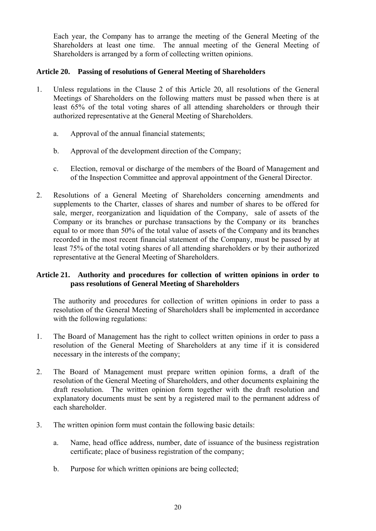<span id="page-19-0"></span>Each year, the Company has to arrange the meeting of the General Meeting of the Shareholders at least one time. The annual meeting of the General Meeting of Shareholders is arranged by a form of collecting written opinions.

#### **Article 20. Passing of resolutions of General Meeting of Shareholders**

- 1. Unless regulations in the Clause 2 of this Article 20, all resolutions of the General Meetings of Shareholders on the following matters must be passed when there is at least 65% of the total voting shares of all attending shareholders or through their authorized representative at the General Meeting of Shareholders.
	- a. Approval of the annual financial statements;
	- b. Approval of the development direction of the Company;
	- c. Election, removal or discharge of the members of the Board of Management and of the Inspection Committee and approval appointment of the General Director.
- 2. Resolutions of a General Meeting of Shareholders concerning amendments and supplements to the Charter, classes of shares and number of shares to be offered for sale, merger, reorganization and liquidation of the Company, sale of assets of the Company or its branches or purchase transactions by the Company or its branches equal to or more than 50% of the total value of assets of the Company and its branches recorded in the most recent financial statement of the Company, must be passed by at least 75% of the total voting shares of all attending shareholders or by their authorized representative at the General Meeting of Shareholders.

# **Article 21. Authority and procedures for collection of written opinions in order to pass resolutions of General Meeting of Shareholders**

The authority and procedures for collection of written opinions in order to pass a resolution of the General Meeting of Shareholders shall be implemented in accordance with the following regulations:

- 1. The Board of Management has the right to collect written opinions in order to pass a resolution of the General Meeting of Shareholders at any time if it is considered necessary in the interests of the company;
- 2. The Board of Management must prepare written opinion forms, a draft of the resolution of the General Meeting of Shareholders, and other documents explaining the draft resolution. The written opinion form together with the draft resolution and explanatory documents must be sent by a registered mail to the permanent address of each shareholder.
- 3. The written opinion form must contain the following basic details:
	- a. Name, head office address, number, date of issuance of the business registration certificate; place of business registration of the company;
	- b. Purpose for which written opinions are being collected;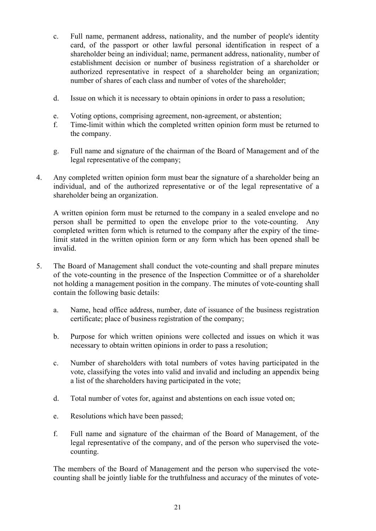- c. Full name, permanent address, nationality, and the number of people's identity card, of the passport or other lawful personal identification in respect of a shareholder being an individual; name, permanent address, nationality, number of establishment decision or number of business registration of a shareholder or authorized representative in respect of a shareholder being an organization; number of shares of each class and number of votes of the shareholder;
- d. Issue on which it is necessary to obtain opinions in order to pass a resolution;
- e. Voting options, comprising agreement, non-agreement, or abstention;
- f. Time-limit within which the completed written opinion form must be returned to the company.
- g. Full name and signature of the chairman of the Board of Management and of the legal representative of the company;
- 4. Any completed written opinion form must bear the signature of a shareholder being an individual, and of the authorized representative or of the legal representative of a shareholder being an organization.

 A written opinion form must be returned to the company in a sealed envelope and no person shall be permitted to open the envelope prior to the vote-counting. Any completed written form which is returned to the company after the expiry of the timelimit stated in the written opinion form or any form which has been opened shall be invalid.

- 5. The Board of Management shall conduct the vote-counting and shall prepare minutes of the vote-counting in the presence of the Inspection Committee or of a shareholder not holding a management position in the company. The minutes of vote-counting shall contain the following basic details:
	- a. Name, head office address, number, date of issuance of the business registration certificate; place of business registration of the company;
	- b. Purpose for which written opinions were collected and issues on which it was necessary to obtain written opinions in order to pass a resolution;
	- c. Number of shareholders with total numbers of votes having participated in the vote, classifying the votes into valid and invalid and including an appendix being a list of the shareholders having participated in the vote;
	- d. Total number of votes for, against and abstentions on each issue voted on;
	- e. Resolutions which have been passed;
	- f. Full name and signature of the chairman of the Board of Management, of the legal representative of the company, and of the person who supervised the votecounting.

The members of the Board of Management and the person who supervised the votecounting shall be jointly liable for the truthfulness and accuracy of the minutes of vote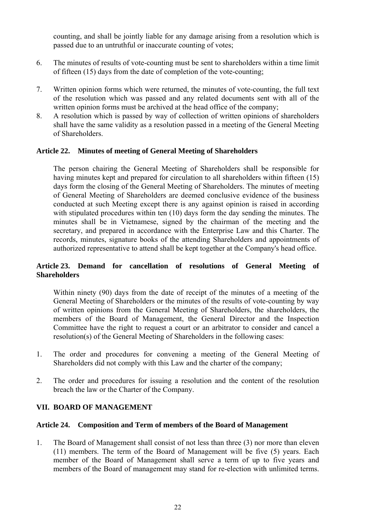<span id="page-21-0"></span>counting, and shall be jointly liable for any damage arising from a resolution which is passed due to an untruthful or inaccurate counting of votes;

- 6. The minutes of results of vote-counting must be sent to shareholders within a time limit of fifteen (15) days from the date of completion of the vote-counting;
- 7. Written opinion forms which were returned, the minutes of vote-counting, the full text of the resolution which was passed and any related documents sent with all of the written opinion forms must be archived at the head office of the company;
- 8. A resolution which is passed by way of collection of written opinions of shareholders shall have the same validity as a resolution passed in a meeting of the General Meeting of Shareholders.

#### **Article 22. Minutes of meeting of General Meeting of Shareholders**

The person chairing the General Meeting of Shareholders shall be responsible for having minutes kept and prepared for circulation to all shareholders within fifteen (15) days form the closing of the General Meeting of Shareholders. The minutes of meeting of General Meeting of Shareholders are deemed conclusive evidence of the business conducted at such Meeting except there is any against opinion is raised in according with stipulated procedures within ten (10) days form the day sending the minutes. The minutes shall be in Vietnamese, signed by the chairman of the meeting and the secretary, and prepared in accordance with the Enterprise Law and this Charter. The records, minutes, signature books of the attending Shareholders and appointments of authorized representative to attend shall be kept together at the Company's head office.

#### **Article 23. Demand for cancellation of resolutions of General Meeting of Shareholders**

Within ninety (90) days from the date of receipt of the minutes of a meeting of the General Meeting of Shareholders or the minutes of the results of vote-counting by way of written opinions from the General Meeting of Shareholders, the shareholders, the members of the Board of Management, the General Director and the Inspection Committee have the right to request a court or an arbitrator to consider and cancel a resolution(s) of the General Meeting of Shareholders in the following cases:

- 1. The order and procedures for convening a meeting of the General Meeting of Shareholders did not comply with this Law and the charter of the company;
- 2. The order and procedures for issuing a resolution and the content of the resolution breach the law or the Charter of the Company.

# <span id="page-21-1"></span>**VII. BOARD OF MANAGEMENT**

#### **Article 24. Composition and Term of members of the Board of Management**

1. The Board of Management shall consist of not less than three (3) nor more than eleven (11) members. The term of the Board of Management will be five (5) years. Each member of the Board of Management shall serve a term of up to five years and members of the Board of management may stand for re-election with unlimited terms.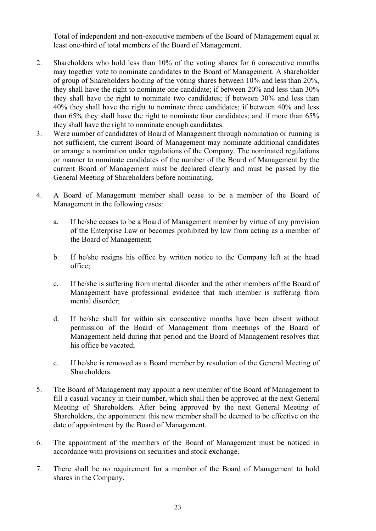Total of independent and non-executive members of the Board of Management equal at least one-third of total members of the Board of Management.

- <span id="page-22-0"></span>2. Shareholders who hold less than 10% of the voting shares for 6 consecutive months may together vote to nominate candidates to the Board of Management. A shareholder of group of Shareholders holding of the voting shares between 10% and less than 20%, they shall have the right to nominate one candidate; if between 20% and less than 30% they shall have the right to nominate two candidates; if between 30% and less than 40% they shall have the right to nominate three candidates; if between 40% and less than 65% they shall have the right to nominate four candidates; and if more than 65% they shall have the right to nominate enough candidates.
- 3. Were number of candidates of Board of Management through nomination or running is not sufficient, the current Board of Management may nominate additional candidates or arrange a nomination under regulations of the Company. The nominated regulations or manner to nominate candidates of the number of the Board of Management by the current Board of Management must be declared clearly and must be passed by the General Meeting of Shareholders before nominating.
- 4. A Board of Management member shall cease to be a member of the Board of Management in the following cases:
	- a. If he/she ceases to be a Board of Management member by virtue of any provision of the Enterprise Law or becomes prohibited by law from acting as a member of the Board of Management;
	- b. If he/she resigns his office by written notice to the Company left at the head office;
	- c. If he/she is suffering from mental disorder and the other members of the Board of Management have professional evidence that such member is suffering from mental disorder;
	- d. If he/she shall for within six consecutive months have been absent without permission of the Board of Management from meetings of the Board of Management held during that period and the Board of Management resolves that his office be vacated;
	- e. If he/she is removed as a Board member by resolution of the General Meeting of Shareholders.
- 5. The Board of Management may appoint a new member of the Board of Management to fill a casual vacancy in their number, which shall then be approved at the next General Meeting of Shareholders. After being approved by the next General Meeting of Shareholders, the appointment this new member shall be deemed to be effective on the date of appointment by the Board of Management.
- 6. The appointment of the members of the Board of Management must be noticed in accordance with provisions on securities and stock exchange.
- 7. There shall be no requirement for a member of the Board of Management to hold shares in the Company.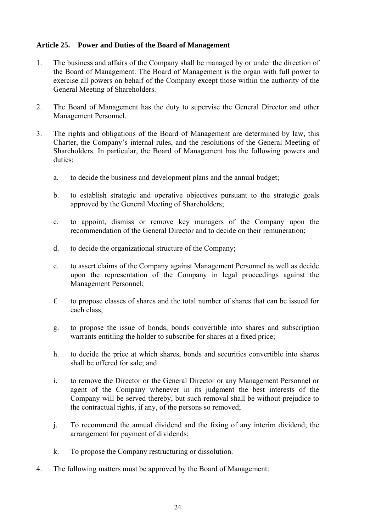# <span id="page-23-0"></span>**Article 25. Power and Duties of the Board of Management**

- 1. The business and affairs of the Company shall be managed by or under the direction of the Board of Management. The Board of Management is the organ with full power to exercise all powers on behalf of the Company except those within the authority of the General Meeting of Shareholders.
- 2. The Board of Management has the duty to supervise the General Director and other Management Personnel.
- 3. The rights and obligations of the Board of Management are determined by law, this Charter, the Company's internal rules, and the resolutions of the General Meeting of Shareholders. In particular, the Board of Management has the following powers and duties:
	- a. to decide the business and development plans and the annual budget;
	- b. to establish strategic and operative objectives pursuant to the strategic goals approved by the General Meeting of Shareholders;
	- c. to appoint, dismiss or remove key managers of the Company upon the recommendation of the General Director and to decide on their remuneration;
	- d. to decide the organizational structure of the Company;
	- e. to assert claims of the Company against Management Personnel as well as decide upon the representation of the Company in legal proceedings against the Management Personnel;
	- f. to propose classes of shares and the total number of shares that can be issued for each class;
	- g. to propose the issue of bonds, bonds convertible into shares and subscription warrants entitling the holder to subscribe for shares at a fixed price;
	- h. to decide the price at which shares, bonds and securities convertible into shares shall be offered for sale; and
	- i. to remove the Director or the General Director or any Management Personnel or agent of the Company whenever in its judgment the best interests of the Company will be served thereby, but such removal shall be without prejudice to the contractual rights, if any, of the persons so removed;
	- j. To recommend the annual dividend and the fixing of any interim dividend; the arrangement for payment of dividends;
	- k. To propose the Company restructuring or dissolution.
- 4. The following matters must be approved by the Board of Management: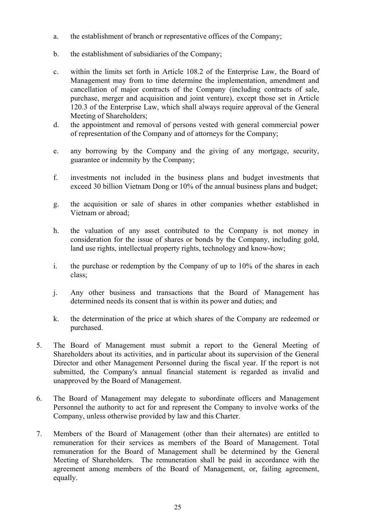- a. the establishment of branch or representative offices of the Company;
- b. the establishment of subsidiaries of the Company;
- c. within the limits set forth in Article 108.2 of the Enterprise Law, the Board of Management may from to time determine the implementation, amendment and cancellation of major contracts of the Company (including contracts of sale, purchase, merger and acquisition and joint venture), except those set in Article 120.3 of the Enterprise Law, which shall always require approval of the General Meeting of Shareholders;
- d. the appointment and removal of persons vested with general commercial power of representation of the Company and of attorneys for the Company;
- e. any borrowing by the Company and the giving of any mortgage, security, guarantee or indemnity by the Company;
- f. investments not included in the business plans and budget investments that exceed 30 billion Vietnam Dong or 10% of the annual business plans and budget;
- g. the acquisition or sale of shares in other companies whether established in Vietnam or abroad;
- h. the valuation of any asset contributed to the Company is not money in consideration for the issue of shares or bonds by the Company, including gold, land use rights, intellectual property rights, technology and know-how;
- i. the purchase or redemption by the Company of up to 10% of the shares in each class;
- j. Any other business and transactions that the Board of Management has determined needs its consent that is within its power and duties; and
- k. the determination of the price at which shares of the Company are redeemed or purchased.
- 5. The Board of Management must submit a report to the General Meeting of Shareholders about its activities, and in particular about its supervision of the General Director and other Management Personnel during the fiscal year. If the report is not submitted, the Company's annual financial statement is regarded as invalid and unapproved by the Board of Management.
- 6. The Board of Management may delegate to subordinate officers and Management Personnel the authority to act for and represent the Company to involve works of the Company, unless otherwise provided by law and this Charter.
- 7. Members of the Board of Management (other than their alternates) are entitled to remuneration for their services as members of the Board of Management. Total remuneration for the Board of Management shall be determined by the General Meeting of Shareholders. The remuneration shall be paid in accordance with the agreement among members of the Board of Management, or, failing agreement, equally.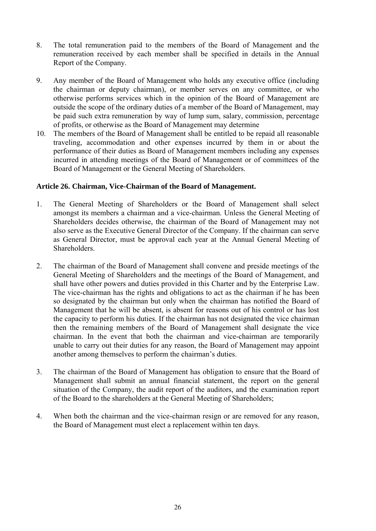- <span id="page-25-0"></span>8. The total remuneration paid to the members of the Board of Management and the remuneration received by each member shall be specified in details in the Annual Report of the Company.
- 9. Any member of the Board of Management who holds any executive office (including the chairman or deputy chairman), or member serves on any committee, or who otherwise performs services which in the opinion of the Board of Management are outside the scope of the ordinary duties of a member of the Board of Management, may be paid such extra remuneration by way of lump sum, salary, commission, percentage of profits, or otherwise as the Board of Management may determine
- 10. The members of the Board of Management shall be entitled to be repaid all reasonable traveling, accommodation and other expenses incurred by them in or about the performance of their duties as Board of Management members including any expenses incurred in attending meetings of the Board of Management or of committees of the Board of Management or the General Meeting of Shareholders.

#### **Article 26. Chairman, Vice-Chairman of the Board of Management.**

- 1. The General Meeting of Shareholders or the Board of Management shall select amongst its members a chairman and a vice-chairman. Unless the General Meeting of Shareholders decides otherwise, the chairman of the Board of Management may not also serve as the Executive General Director of the Company. If the chairman can serve as General Director, must be approval each year at the Annual General Meeting of **Shareholders**
- 2. The chairman of the Board of Management shall convene and preside meetings of the General Meeting of Shareholders and the meetings of the Board of Management, and shall have other powers and duties provided in this Charter and by the Enterprise Law. The vice-chairman has the rights and obligations to act as the chairman if he has been so designated by the chairman but only when the chairman has notified the Board of Management that he will be absent, is absent for reasons out of his control or has lost the capacity to perform his duties. If the chairman has not designated the vice chairman then the remaining members of the Board of Management shall designate the vice chairman. In the event that both the chairman and vice-chairman are temporarily unable to carry out their duties for any reason, the Board of Management may appoint another among themselves to perform the chairman's duties.
- 3. The chairman of the Board of Management has obligation to ensure that the Board of Management shall submit an annual financial statement, the report on the general situation of the Company, the audit report of the auditors, and the examination report of the Board to the shareholders at the General Meeting of Shareholders;
- 4. When both the chairman and the vice-chairman resign or are removed for any reason, the Board of Management must elect a replacement within ten days.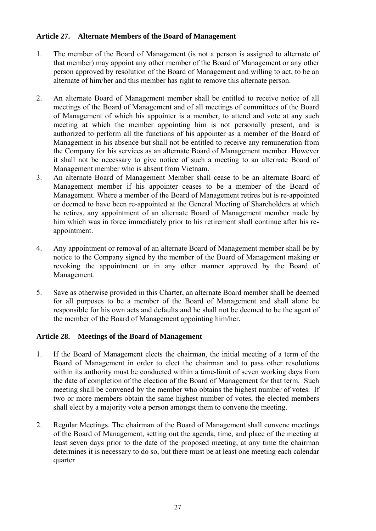#### <span id="page-26-0"></span>**Article 27. Alternate Members of the Board of Management**

- 1. The member of the Board of Management (is not a person is assigned to alternate of that member) may appoint any other member of the Board of Management or any other person approved by resolution of the Board of Management and willing to act, to be an alternate of him/her and this member has right to remove this alternate person.
- 2. An alternate Board of Management member shall be entitled to receive notice of all meetings of the Board of Management and of all meetings of committees of the Board of Management of which his appointer is a member, to attend and vote at any such meeting at which the member appointing him is not personally present, and is authorized to perform all the functions of his appointer as a member of the Board of Management in his absence but shall not be entitled to receive any remuneration from the Company for his services as an alternate Board of Management member. However it shall not be necessary to give notice of such a meeting to an alternate Board of Management member who is absent from Vietnam.
- 3. An alternate Board of Management Member shall cease to be an alternate Board of Management member if his appointer ceases to be a member of the Board of Management. Where a member of the Board of Management retires but is re-appointed or deemed to have been re-appointed at the General Meeting of Shareholders at which he retires, any appointment of an alternate Board of Management member made by him which was in force immediately prior to his retirement shall continue after his reappointment.
- 4. Any appointment or removal of an alternate Board of Management member shall be by notice to the Company signed by the member of the Board of Management making or revoking the appointment or in any other manner approved by the Board of Management.
- 5. Save as otherwise provided in this Charter, an alternate Board member shall be deemed for all purposes to be a member of the Board of Management and shall alone be responsible for his own acts and defaults and he shall not be deemed to be the agent of the member of the Board of Management appointing him/her.

# **Article 28. Meetings of the Board of Management**

- 1. If the Board of Management elects the chairman, the initial meeting of a term of the Board of Management in order to elect the chairman and to pass other resolutions within its authority must be conducted within a time-limit of seven working days from the date of completion of the election of the Board of Management for that term. Such meeting shall be convened by the member who obtains the highest number of votes. If two or more members obtain the same highest number of votes, the elected members shall elect by a majority vote a person amongst them to convene the meeting.
- 2. Regular Meetings. The chairman of the Board of Management shall convene meetings of the Board of Management, setting out the agenda, time, and place of the meeting at least seven days prior to the date of the proposed meeting, at any time the chairman determines it is necessary to do so, but there must be at least one meeting each calendar quarter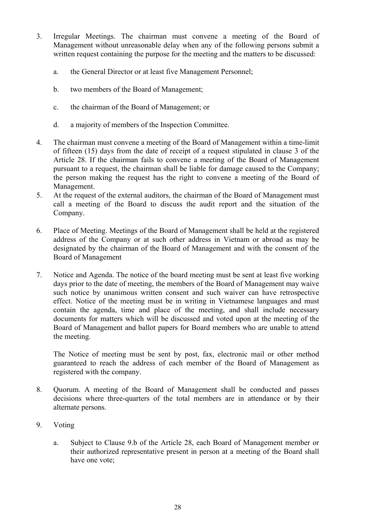- 3. Irregular Meetings. The chairman must convene a meeting of the Board of Management without unreasonable delay when any of the following persons submit a written request containing the purpose for the meeting and the matters to be discussed:
	- a. the General Director or at least five Management Personnel;
	- b. two members of the Board of Management;
	- c. the chairman of the Board of Management; or
	- d. a majority of members of the Inspection Committee.
- 4. The chairman must convene a meeting of the Board of Management within a time-limit of fifteen (15) days from the date of receipt of a request stipulated in clause 3 of the Article 28. If the chairman fails to convene a meeting of the Board of Management pursuant to a request, the chairman shall be liable for damage caused to the Company; the person making the request has the right to convene a meeting of the Board of Management.
- 5. At the request of the external auditors, the chairman of the Board of Management must call a meeting of the Board to discuss the audit report and the situation of the Company.
- 6. Place of Meeting. Meetings of the Board of Management shall be held at the registered address of the Company or at such other address in Vietnam or abroad as may be designated by the chairman of the Board of Management and with the consent of the Board of Management
- 7. Notice and Agenda. The notice of the board meeting must be sent at least five working days prior to the date of meeting, the members of the Board of Management may waive such notice by unanimous written consent and such waiver can have retrospective effect. Notice of the meeting must be in writing in Vietnamese languages and must contain the agenda, time and place of the meeting, and shall include necessary documents for matters which will be discussed and voted upon at the meeting of the Board of Management and ballot papers for Board members who are unable to attend the meeting.

The Notice of meeting must be sent by post, fax, electronic mail or other method guaranteed to reach the address of each member of the Board of Management as registered with the company.

- 8. Quorum. A meeting of the Board of Management shall be conducted and passes decisions where three-quarters of the total members are in attendance or by their alternate persons.
- 9. Voting
	- a. Subject to Clause 9.b of the Article 28, each Board of Management member or their authorized representative present in person at a meeting of the Board shall have one vote;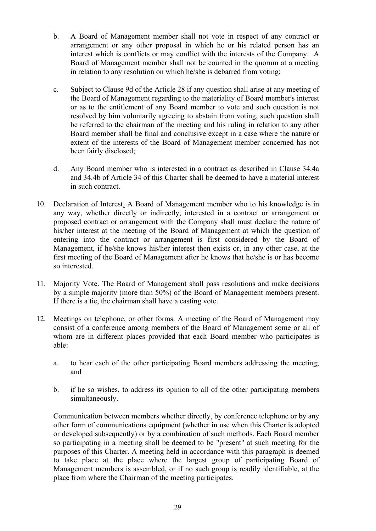- b. A Board of Management member shall not vote in respect of any contract or arrangement or any other proposal in which he or his related person has an interest which is conflicts or may conflict with the interests of the Company. A Board of Management member shall not be counted in the quorum at a meeting in relation to any resolution on which he/she is debarred from voting;
- c. Subject to Clause 9d of the Article 28 if any question shall arise at any meeting of the Board of Management regarding to the materiality of Board member's interest or as to the entitlement of any Board member to vote and such question is not resolved by him voluntarily agreeing to abstain from voting, such question shall be referred to the chairman of the meeting and his ruling in relation to any other Board member shall be final and conclusive except in a case where the nature or extent of the interests of the Board of Management member concerned has not been fairly disclosed;
- d. Any Board member who is interested in a contract as described in Clause 34.4a and 34.4b of Article 34 of this Charter shall be deemed to have a material interest in such contract.
- 10. Declaration of Interest. A Board of Management member who to his knowledge is in any way, whether directly or indirectly, interested in a contract or arrangement or proposed contract or arrangement with the Company shall must declare the nature of his/her interest at the meeting of the Board of Management at which the question of entering into the contract or arrangement is first considered by the Board of Management, if he/she knows his/her interest then exists or, in any other case, at the first meeting of the Board of Management after he knows that he/she is or has become so interested.
- 11. Majority Vote. The Board of Management shall pass resolutions and make decisions by a simple majority (more than 50%) of the Board of Management members present. If there is a tie, the chairman shall have a casting vote.
- 12. Meetings on telephone, or other forms. A meeting of the Board of Management may consist of a conference among members of the Board of Management some or all of whom are in different places provided that each Board member who participates is able:
	- a. to hear each of the other participating Board members addressing the meeting; and
	- b. if he so wishes, to address its opinion to all of the other participating members simultaneously.

Communication between members whether directly, by conference telephone or by any other form of communications equipment (whether in use when this Charter is adopted or developed subsequently) or by a combination of such methods. Each Board member so participating in a meeting shall be deemed to be "present" at such meeting for the purposes of this Charter. A meeting held in accordance with this paragraph is deemed to take place at the place where the largest group of participating Board of Management members is assembled, or if no such group is readily identifiable, at the place from where the Chairman of the meeting participates.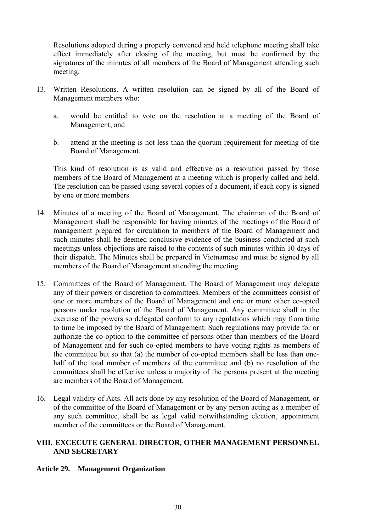<span id="page-29-0"></span>Resolutions adopted during a properly convened and held telephone meeting shall take effect immediately after closing of the meeting, but must be confirmed by the signatures of the minutes of all members of the Board of Management attending such meeting.

- 13. Written Resolutions. A written resolution can be signed by all of the Board of Management members who:
	- a. would be entitled to vote on the resolution at a meeting of the Board of Management; and
	- b. attend at the meeting is not less than the quorum requirement for meeting of the Board of Management.

This kind of resolution is as valid and effective as a resolution passed by those members of the Board of Management at a meeting which is properly called and held. The resolution can be passed using several copies of a document, if each copy is signed by one or more members

- 14. Minutes of a meeting of the Board of Management. The chairman of the Board of Management shall be responsible for having minutes of the meetings of the Board of management prepared for circulation to members of the Board of Management and such minutes shall be deemed conclusive evidence of the business conducted at such meetings unless objections are raised to the contents of such minutes within 10 days of their dispatch. The Minutes shall be prepared in Vietnamese and must be signed by all members of the Board of Management attending the meeting.
- 15. Committees of the Board of Management. The Board of Management may delegate any of their powers or discretion to committees. Members of the committees consist of one or more members of the Board of Management and one or more other co-opted persons under resolution of the Board of Management. Any committee shall in the exercise of the powers so delegated conform to any regulations which may from time to time be imposed by the Board of Management. Such regulations may provide for or authorize the co-option to the committee of persons other than members of the Board of Management and for such co-opted members to have voting rights as members of the committee but so that (a) the number of co-opted members shall be less than onehalf of the total number of members of the committee and (b) no resolution of the committees shall be effective unless a majority of the persons present at the meeting are members of the Board of Management.
- 16. Legal validity of Acts. All acts done by any resolution of the Board of Management, or of the committee of the Board of Management or by any person acting as a member of any such committee, shall be as legal valid notwithstanding election, appointment member of the committees or the Board of Management.

# **VIII. EXCECUTE GENERAL DIRECTOR, OTHER MANAGEMENT PERSONNEL AND SECRETARY**

# **Article 29. Management Organization**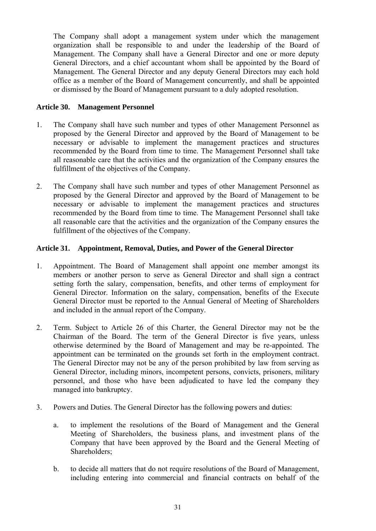<span id="page-30-0"></span>The Company shall adopt a management system under which the management organization shall be responsible to and under the leadership of the Board of Management. The Company shall have a General Director and one or more deputy General Directors, and a chief accountant whom shall be appointed by the Board of Management. The General Director and any deputy General Directors may each hold office as a member of the Board of Management concurrently, and shall be appointed or dismissed by the Board of Management pursuant to a duly adopted resolution.

# **Article 30. Management Personnel**

- 1. The Company shall have such number and types of other Management Personnel as proposed by the General Director and approved by the Board of Management to be necessary or advisable to implement the management practices and structures recommended by the Board from time to time. The Management Personnel shall take all reasonable care that the activities and the organization of the Company ensures the fulfillment of the objectives of the Company.
- 2. The Company shall have such number and types of other Management Personnel as proposed by the General Director and approved by the Board of Management to be necessary or advisable to implement the management practices and structures recommended by the Board from time to time. The Management Personnel shall take all reasonable care that the activities and the organization of the Company ensures the fulfillment of the objectives of the Company.

# **Article 31. Appointment, Removal, Duties, and Power of the General Director**

- 1. Appointment. The Board of Management shall appoint one member amongst its members or another person to serve as General Director and shall sign a contract setting forth the salary, compensation, benefits, and other terms of employment for General Director. Information on the salary, compensation, benefits of the Execute General Director must be reported to the Annual General of Meeting of Shareholders and included in the annual report of the Company.
- 2. Term. Subject to Article 26 of this Charter, the General Director may not be the Chairman of the Board. The term of the General Director is five years, unless otherwise determined by the Board of Management and may be re-appointed. The appointment can be terminated on the grounds set forth in the employment contract. The General Director may not be any of the person prohibited by law from serving as General Director, including minors, incompetent persons, convicts, prisoners, military personnel, and those who have been adjudicated to have led the company they managed into bankruptcy.
- 3. Powers and Duties. The General Director has the following powers and duties:
	- a. to implement the resolutions of the Board of Management and the General Meeting of Shareholders, the business plans, and investment plans of the Company that have been approved by the Board and the General Meeting of Shareholders;
	- b. to decide all matters that do not require resolutions of the Board of Management, including entering into commercial and financial contracts on behalf of the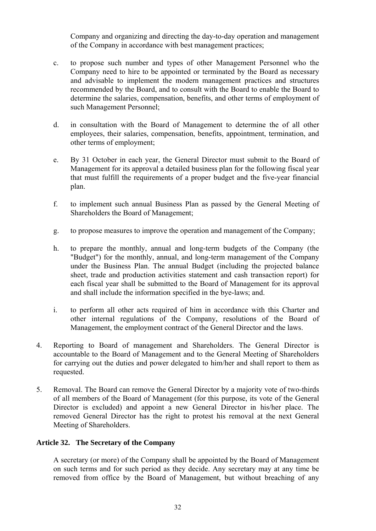<span id="page-31-0"></span>Company and organizing and directing the day-to-day operation and management of the Company in accordance with best management practices;

- c. to propose such number and types of other Management Personnel who the Company need to hire to be appointed or terminated by the Board as necessary and advisable to implement the modern management practices and structures recommended by the Board, and to consult with the Board to enable the Board to determine the salaries, compensation, benefits, and other terms of employment of such Management Personnel;
- d. in consultation with the Board of Management to determine the of all other employees, their salaries, compensation, benefits, appointment, termination, and other terms of employment;
- e. By 31 October in each year, the General Director must submit to the Board of Management for its approval a detailed business plan for the following fiscal year that must fulfill the requirements of a proper budget and the five-year financial plan.
- f. to implement such annual Business Plan as passed by the General Meeting of Shareholders the Board of Management;
- g. to propose measures to improve the operation and management of the Company;
- h. to prepare the monthly, annual and long-term budgets of the Company (the "Budget") for the monthly, annual, and long-term management of the Company under the Business Plan. The annual Budget (including the projected balance sheet, trade and production activities statement and cash transaction report) for each fiscal year shall be submitted to the Board of Management for its approval and shall include the information specified in the bye-laws; and.
- i. to perform all other acts required of him in accordance with this Charter and other internal regulations of the Company, resolutions of the Board of Management, the employment contract of the General Director and the laws.
- 4. Reporting to Board of management and Shareholders. The General Director is accountable to the Board of Management and to the General Meeting of Shareholders for carrying out the duties and power delegated to him/her and shall report to them as requested.
- 5. Removal. The Board can remove the General Director by a majority vote of two-thirds of all members of the Board of Management (for this purpose, its vote of the General Director is excluded) and appoint a new General Director in his/her place. The removed General Director has the right to protest his removal at the next General Meeting of Shareholders.

#### **Article 32. The Secretary of the Company**

A secretary (or more) of the Company shall be appointed by the Board of Management on such terms and for such period as they decide. Any secretary may at any time be removed from office by the Board of Management, but without breaching of any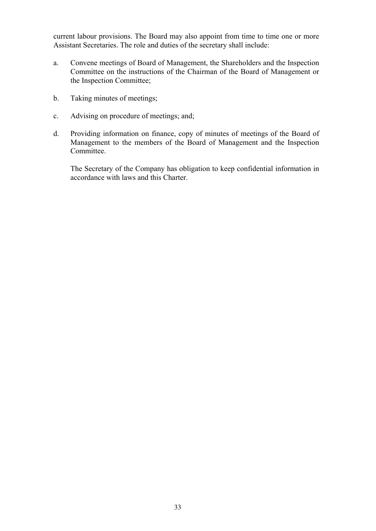current labour provisions. The Board may also appoint from time to time one or more Assistant Secretaries. The role and duties of the secretary shall include:

- a. Convene meetings of Board of Management, the Shareholders and the Inspection Committee on the instructions of the Chairman of the Board of Management or the Inspection Committee;
- b. Taking minutes of meetings;
- c. Advising on procedure of meetings; and;
- d. Providing information on finance, copy of minutes of meetings of the Board of Management to the members of the Board of Management and the Inspection Committee.

The Secretary of the Company has obligation to keep confidential information in accordance with laws and this Charter.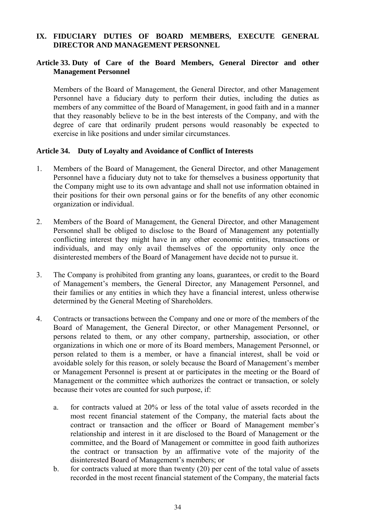# <span id="page-33-0"></span>**IX. FIDUCIARY DUTIES OF BOARD MEMBERS, EXECUTE GENERAL DIRECTOR AND MANAGEMENT PERSONNEL**

#### **Article 33. Duty of Care of the Board Members, General Director and other Management Personnel**

Members of the Board of Management, the General Director, and other Management Personnel have a fiduciary duty to perform their duties, including the duties as members of any committee of the Board of Management, in good faith and in a manner that they reasonably believe to be in the best interests of the Company, and with the degree of care that ordinarily prudent persons would reasonably be expected to exercise in like positions and under similar circumstances.

#### **Article 34. Duty of Loyalty and Avoidance of Conflict of Interests**

- 1. Members of the Board of Management, the General Director, and other Management Personnel have a fiduciary duty not to take for themselves a business opportunity that the Company might use to its own advantage and shall not use information obtained in their positions for their own personal gains or for the benefits of any other economic organization or individual.
- 2. Members of the Board of Management, the General Director, and other Management Personnel shall be obliged to disclose to the Board of Management any potentially conflicting interest they might have in any other economic entities, transactions or individuals, and may only avail themselves of the opportunity only once the disinterested members of the Board of Management have decide not to pursue it.
- 3. The Company is prohibited from granting any loans, guarantees, or credit to the Board of Management's members, the General Director, any Management Personnel, and their families or any entities in which they have a financial interest, unless otherwise determined by the General Meeting of Shareholders.
- 4. Contracts or transactions between the Company and one or more of the members of the Board of Management, the General Director, or other Management Personnel, or persons related to them, or any other company, partnership, association, or other organizations in which one or more of its Board members, Management Personnel, or person related to them is a member, or have a financial interest, shall be void or avoidable solely for this reason, or solely because the Board of Management's member or Management Personnel is present at or participates in the meeting or the Board of Management or the committee which authorizes the contract or transaction, or solely because their votes are counted for such purpose, if:
	- a. for contracts valued at 20% or less of the total value of assets recorded in the most recent financial statement of the Company, the material facts about the contract or transaction and the officer or Board of Management member's relationship and interest in it are disclosed to the Board of Management or the committee, and the Board of Management or committee in good faith authorizes the contract or transaction by an affirmative vote of the majority of the disinterested Board of Management's members; or
	- b. for contracts valued at more than twenty (20) per cent of the total value of assets recorded in the most recent financial statement of the Company, the material facts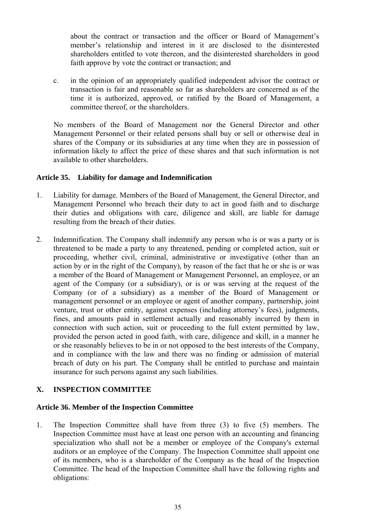<span id="page-34-0"></span>about the contract or transaction and the officer or Board of Management's member's relationship and interest in it are disclosed to the disinterested shareholders entitled to vote thereon, and the disinterested shareholders in good faith approve by vote the contract or transaction; and

c. in the opinion of an appropriately qualified independent advisor the contract or transaction is fair and reasonable so far as shareholders are concerned as of the time it is authorized, approved, or ratified by the Board of Management, a committee thereof, or the shareholders.

No members of the Board of Management nor the General Director and other Management Personnel or their related persons shall buy or sell or otherwise deal in shares of the Company or its subsidiaries at any time when they are in possession of information likely to affect the price of these shares and that such information is not available to other shareholders.

# **Article 35. Liability for damage and Indemnification**

- 1. Liability for damage. Members of the Board of Management, the General Director, and Management Personnel who breach their duty to act in good faith and to discharge their duties and obligations with care, diligence and skill, are liable for damage resulting from the breach of their duties.
- 2. Indemnification. The Company shall indemnify any person who is or was a party or is threatened to be made a party to any threatened, pending or completed action, suit or proceeding, whether civil, criminal, administrative or investigative (other than an action by or in the right of the Company), by reason of the fact that he or she is or was a member of the Board of Management or Management Personnel, an employee, or an agent of the Company (or a subsidiary), or is or was serving at the request of the Company (or of a subsidiary) as a member of the Board of Management or management personnel or an employee or agent of another company, partnership, joint venture, trust or other entity, against expenses (including attorney's fees), judgments, fines, and amounts paid in settlement actually and reasonably incurred by them in connection with such action, suit or proceeding to the full extent permitted by law, provided the person acted in good faith, with care, diligence and skill, in a manner he or she reasonably believes to be in or not opposed to the best interests of the Company, and in compliance with the law and there was no finding or admission of material breach of duty on his part. The Company shall be entitled to purchase and maintain insurance for such persons against any such liabilities.

# **X. INSPECTION COMMITTEE**

# **Article 36. Member of the Inspection Committee**

1. The Inspection Committee shall have from three (3) to five (5) members. The Inspection Committee must have at least one person with an accounting and financing specialization who shall not be a member or employee of the Company's external auditors or an employee of the Company. The Inspection Committee shall appoint one of its members, who is a shareholder of the Company as the head of the Inspection Committee. The head of the Inspection Committee shall have the following rights and obligations: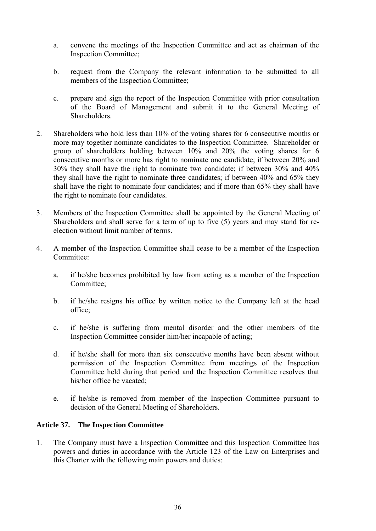- <span id="page-35-0"></span>a. convene the meetings of the Inspection Committee and act as chairman of the Inspection Committee;
- b. request from the Company the relevant information to be submitted to all members of the Inspection Committee;
- c. prepare and sign the report of the Inspection Committee with prior consultation of the Board of Management and submit it to the General Meeting of Shareholders.
- <span id="page-35-1"></span>2. Shareholders who hold less than 10% of the voting shares for 6 consecutive months or more may together nominate candidates to the Inspection Committee. Shareholder or group of shareholders holding between 10% and 20% the voting shares for 6 consecutive months or more has right to nominate one candidate; if between 20% and 30% they shall have the right to nominate two candidate; if between 30% and 40% they shall have the right to nominate three candidates; if between 40% and 65% they shall have the right to nominate four candidates; and if more than 65% they shall have the right to nominate four candidates.
- 3. Members of the Inspection Committee shall be appointed by the General Meeting of Shareholders and shall serve for a term of up to five (5) years and may stand for reelection without limit number of terms.
- 4. A member of the Inspection Committee shall cease to be a member of the Inspection Committee:
	- a. if he/she becomes prohibited by law from acting as a member of the Inspection Committee;
	- b. if he/she resigns his office by written notice to the Company left at the head office;
	- c. if he/she is suffering from mental disorder and the other members of the Inspection Committee consider him/her incapable of acting;
	- d. if he/she shall for more than six consecutive months have been absent without permission of the Inspection Committee from meetings of the Inspection Committee held during that period and the Inspection Committee resolves that his/her office be vacated;
	- e. if he/she is removed from member of the Inspection Committee pursuant to decision of the General Meeting of Shareholders.

#### **Article 37. The Inspection Committee**

1. The Company must have a Inspection Committee and this Inspection Committee has powers and duties in accordance with the Article 123 of the Law on Enterprises and this Charter with the following main powers and duties: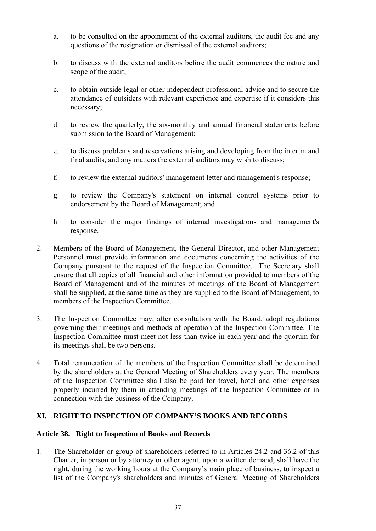- <span id="page-36-0"></span>a. to be consulted on the appointment of the external auditors, the audit fee and any questions of the resignation or dismissal of the external auditors;
- b. to discuss with the external auditors before the audit commences the nature and scope of the audit;
- c. to obtain outside legal or other independent professional advice and to secure the attendance of outsiders with relevant experience and expertise if it considers this necessary;
- d. to review the quarterly, the six-monthly and annual financial statements before submission to the Board of Management;
- e. to discuss problems and reservations arising and developing from the interim and final audits, and any matters the external auditors may wish to discuss;
- f. to review the external auditors' management letter and management's response;
- g. to review the Company's statement on internal control systems prior to endorsement by the Board of Management; and
- h. to consider the major findings of internal investigations and management's response.
- 2. Members of the Board of Management, the General Director, and other Management Personnel must provide information and documents concerning the activities of the Company pursuant to the request of the Inspection Committee. The Secretary shall ensure that all copies of all financial and other information provided to members of the Board of Management and of the minutes of meetings of the Board of Management shall be supplied, at the same time as they are supplied to the Board of Management, to members of the Inspection Committee.
- 3. The Inspection Committee may, after consultation with the Board, adopt regulations governing their meetings and methods of operation of the Inspection Committee. The Inspection Committee must meet not less than twice in each year and the quorum for its meetings shall be two persons.
- 4. Total remuneration of the members of the Inspection Committee shall be determined by the shareholders at the General Meeting of Shareholders every year. The members of the Inspection Committee shall also be paid for travel, hotel and other expenses properly incurred by them in attending meetings of the Inspection Committee or in connection with the business of the Company.

# **XI. RIGHT TO INSPECTION OF COMPANY'S BOOKS AND RECORDS**

# **Article 38. Right to Inspection of Books and Records**

1. The Shareholder or group of shareholders referred to in Articles 24.2 and 36.2 of this Charter, in person or by attorney or other agent, upon a written demand, shall have the right, during the working hours at the Company's main place of business, to inspect a list of the Company's shareholders and minutes of General Meeting of Shareholders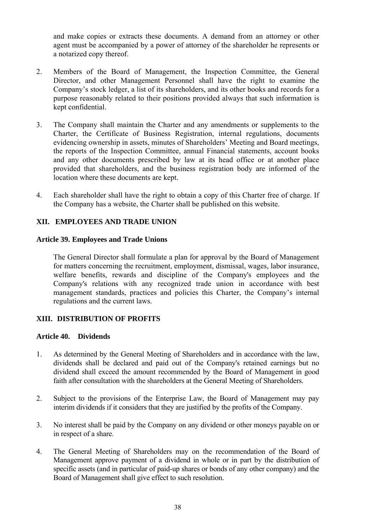<span id="page-37-0"></span>and make copies or extracts these documents. A demand from an attorney or other agent must be accompanied by a power of attorney of the shareholder he represents or a notarized copy thereof.

- 2. Members of the Board of Management, the Inspection Committee, the General Director, and other Management Personnel shall have the right to examine the Company's stock ledger, a list of its shareholders, and its other books and records for a purpose reasonably related to their positions provided always that such information is kept confidential.
- 3. The Company shall maintain the Charter and any amendments or supplements to the Charter, the Certificate of Business Registration, internal regulations, documents evidencing ownership in assets, minutes of Shareholders' Meeting and Board meetings, the reports of the Inspection Committee, annual Financial statements, account books and any other documents prescribed by law at its head office or at another place provided that shareholders, and the business registration body are informed of the location where these documents are kept.
- 4. Each shareholder shall have the right to obtain a copy of this Charter free of charge. If the Company has a website, the Charter shall be published on this website.

#### **XII. EMPLOYEES AND TRADE UNION**

#### **Article 39. Employees and Trade Unions**

The General Director shall formulate a plan for approval by the Board of Management for matters concerning the recruitment, employment, dismissal, wages, labor insurance, welfare benefits, rewards and discipline of the Company's employees and the Company's relations with any recognized trade union in accordance with best management standards, practices and policies this Charter, the Company's internal regulations and the current laws.

#### **XIII. DISTRIBUTION OF PROFITS**

#### **Article 40. Dividends**

- 1. As determined by the General Meeting of Shareholders and in accordance with the law, dividends shall be declared and paid out of the Company's retained earnings but no dividend shall exceed the amount recommended by the Board of Management in good faith after consultation with the shareholders at the General Meeting of Shareholders.
- 2. Subject to the provisions of the Enterprise Law, the Board of Management may pay interim dividends if it considers that they are justified by the profits of the Company.
- 3. No interest shall be paid by the Company on any dividend or other moneys payable on or in respect of a share.
- 4. The General Meeting of Shareholders may on the recommendation of the Board of Management approve payment of a dividend in whole or in part by the distribution of specific assets (and in particular of paid-up shares or bonds of any other company) and the Board of Management shall give effect to such resolution.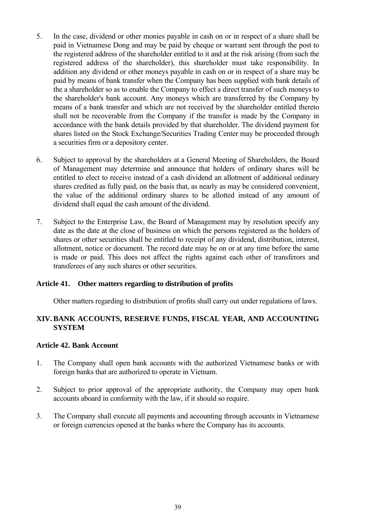- <span id="page-38-0"></span>5. In the case, dividend or other monies payable in cash on or in respect of a share shall be paid in Vietnamese Dong and may be paid by cheque or warrant sent through the post to the registered address of the shareholder entitled to it and at the risk arising (from such the registered address of the shareholder), this shareholder must take responsibility. In addition any dividend or other moneys payable in cash on or in respect of a share may be paid by means of bank transfer when the Company has been supplied with bank details of the a shareholder so as to enable the Company to effect a direct transfer of such moneys to the shareholder's bank account. Any moneys which are transferred by the Company by means of a bank transfer and which are not received by the shareholder entitled thereto shall not be recoverable from the Company if the transfer is made by the Company in accordance with the bank details provided by that shareholder. The dividend payment for shares listed on the Stock Exchange/Securities Trading Center may be proceeded through a securities firm or a depository center.
- 6. Subject to approval by the shareholders at a General Meeting of Shareholders, the Board of Management may determine and announce that holders of ordinary shares will be entitled to elect to receive instead of a cash dividend an allotment of additional ordinary shares credited as fully paid, on the basis that, as nearly as may be considered convenient, the value of the additional ordinary shares to be allotted instead of any amount of dividend shall equal the cash amount of the dividend.
- 7. Subject to the Enterprise Law, the Board of Management may by resolution specify any date as the date at the close of business on which the persons registered as the holders of shares or other securities shall be entitled to receipt of any dividend, distribution, interest, allotment, notice or document. The record date may be on or at any time before the same is made or paid. This does not affect the rights against each other of transferors and transferees of any such shares or other securities.

#### **Article 41. Other matters regarding to distribution of profits**

Other matters regarding to distribution of profits shall carry out under regulations of laws.

#### **XIV. BANK ACCOUNTS, RESERVE FUNDS, FISCAL YEAR, AND ACCOUNTING SYSTEM**

#### **Article 42. Bank Account**

- 1. The Company shall open bank accounts with the authorized Vietnamese banks or with foreign banks that are authorized to operate in Vietnam.
- 2. Subject to prior approval of the appropriate authority, the Company may open bank accounts aboard in conformity with the law, if it should so require.
- 3. The Company shall execute all payments and accounting through accounts in Vietnamese or foreign currencies opened at the banks where the Company has its accounts.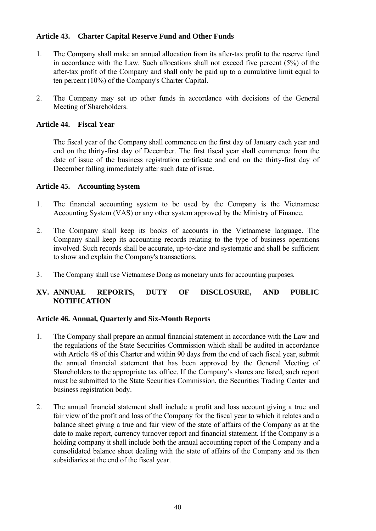# <span id="page-39-0"></span>**Article 43. Charter Capital Reserve Fund and Other Funds**

- 1. The Company shall make an annual allocation from its after-tax profit to the reserve fund in accordance with the Law. Such allocations shall not exceed five percent (5%) of the after-tax profit of the Company and shall only be paid up to a cumulative limit equal to ten percent (10%) of the Company's Charter Capital.
- 2. The Company may set up other funds in accordance with decisions of the General Meeting of Shareholders.

#### **Article 44. Fiscal Year**

The fiscal year of the Company shall commence on the first day of January each year and end on the thirty-first day of December. The first fiscal year shall commence from the date of issue of the business registration certificate and end on the thirty-first day of December falling immediately after such date of issue.

#### **Article 45. Accounting System**

- 1. The financial accounting system to be used by the Company is the Vietnamese Accounting System (VAS) or any other system approved by the Ministry of Finance.
- 2. The Company shall keep its books of accounts in the Vietnamese language. The Company shall keep its accounting records relating to the type of business operations involved. Such records shall be accurate, up-to-date and systematic and shall be sufficient to show and explain the Company's transactions.
- 3. The Company shall use Vietnamese Dong as monetary units for accounting purposes.

# **XV. ANNUAL REPORTS, DUTY OF DISCLOSURE, AND PUBLIC NOTIFICATION**

#### **Article 46. Annual, Quarterly and Six-Month Reports**

- 1. The Company shall prepare an annual financial statement in accordance with the Law and the regulations of the State Securities Commission which shall be audited in accordance with Article 48 of this Charter and within 90 days from the end of each fiscal year, submit the annual financial statement that has been approved by the General Meeting of Shareholders to the appropriate tax office. If the Company's shares are listed, such report must be submitted to the State Securities Commission, the Securities Trading Center and business registration body.
- 2. The annual financial statement shall include a profit and loss account giving a true and fair view of the profit and loss of the Company for the fiscal year to which it relates and a balance sheet giving a true and fair view of the state of affairs of the Company as at the date to make report, currency turnover report and financial statement. If the Company is a holding company it shall include both the annual accounting report of the Company and a consolidated balance sheet dealing with the state of affairs of the Company and its then subsidiaries at the end of the fiscal year.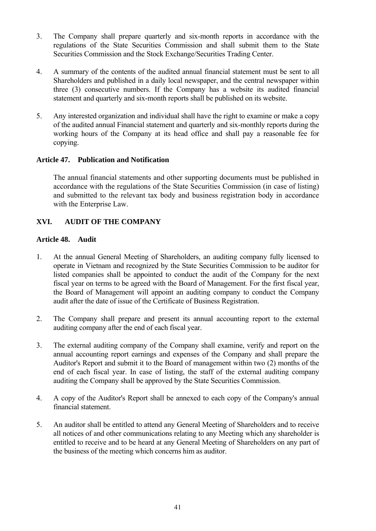- <span id="page-40-0"></span>3. The Company shall prepare quarterly and six-month reports in accordance with the regulations of the State Securities Commission and shall submit them to the State Securities Commission and the Stock Exchange/Securities Trading Center.
- 4. A summary of the contents of the audited annual financial statement must be sent to all Shareholders and published in a daily local newspaper, and the central newspaper within three (3) consecutive numbers. If the Company has a website its audited financial statement and quarterly and six-month reports shall be published on its website.
- 5. Any interested organization and individual shall have the right to examine or make a copy of the audited annual Financial statement and quarterly and six-monthly reports during the working hours of the Company at its head office and shall pay a reasonable fee for copying.

#### **Article 47. Publication and Notification**

The annual financial statements and other supporting documents must be published in accordance with the regulations of the State Securities Commission (in case of listing) and submitted to the relevant tax body and business registration body in accordance with the Enterprise Law.

# **XVI. AUDIT OF THE COMPANY**

#### **Article 48. Audit**

- 1. At the annual General Meeting of Shareholders, an auditing company fully licensed to operate in Vietnam and recognized by the State Securities Commission to be auditor for listed companies shall be appointed to conduct the audit of the Company for the next fiscal year on terms to be agreed with the Board of Management. For the first fiscal year, the Board of Management will appoint an auditing company to conduct the Company audit after the date of issue of the Certificate of Business Registration.
- 2. The Company shall prepare and present its annual accounting report to the external auditing company after the end of each fiscal year.
- 3. The external auditing company of the Company shall examine, verify and report on the annual accounting report earnings and expenses of the Company and shall prepare the Auditor's Report and submit it to the Board of management within two (2) months of the end of each fiscal year. In case of listing, the staff of the external auditing company auditing the Company shall be approved by the State Securities Commission.
- 4. A copy of the Auditor's Report shall be annexed to each copy of the Company's annual financial statement.
- 5. An auditor shall be entitled to attend any General Meeting of Shareholders and to receive all notices of and other communications relating to any Meeting which any shareholder is entitled to receive and to be heard at any General Meeting of Shareholders on any part of the business of the meeting which concerns him as auditor.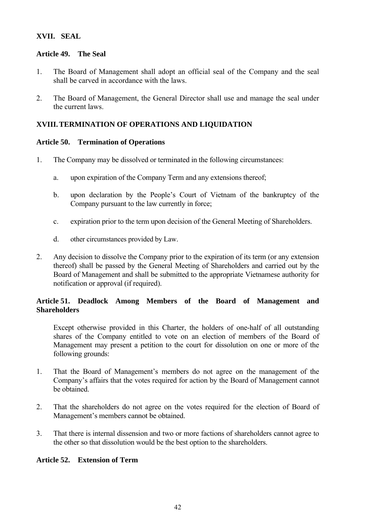# <span id="page-41-0"></span>**XVII. SEAL**

#### **Article 49. The Seal**

- 1. The Board of Management shall adopt an official seal of the Company and the seal shall be carved in accordance with the laws.
- 2. The Board of Management, the General Director shall use and manage the seal under the current laws.

# **XVIII.TERMINATION OF OPERATIONS AND LIQUIDATION**

#### **Article 50. Termination of Operations**

- 1. The Company may be dissolved or terminated in the following circumstances:
	- a. upon expiration of the Company Term and any extensions thereof;
	- b. upon declaration by the People's Court of Vietnam of the bankruptcy of the Company pursuant to the law currently in force;
	- c. expiration prior to the term upon decision of the General Meeting of Shareholders.
	- d. other circumstances provided by Law.
- 2. Any decision to dissolve the Company prior to the expiration of its term (or any extension thereof) shall be passed by the General Meeting of Shareholders and carried out by the Board of Management and shall be submitted to the appropriate Vietnamese authority for notification or approval (if required).

# **Article 51. Deadlock Among Members of the Board of Management and Shareholders**

Except otherwise provided in this Charter, the holders of one-half of all outstanding shares of the Company entitled to vote on an election of members of the Board of Management may present a petition to the court for dissolution on one or more of the following grounds:

- 1. That the Board of Management's members do not agree on the management of the Company's affairs that the votes required for action by the Board of Management cannot be obtained.
- 2. That the shareholders do not agree on the votes required for the election of Board of Management's members cannot be obtained.
- 3. That there is internal dissension and two or more factions of shareholders cannot agree to the other so that dissolution would be the best option to the shareholders.

# **Article 52. Extension of Term**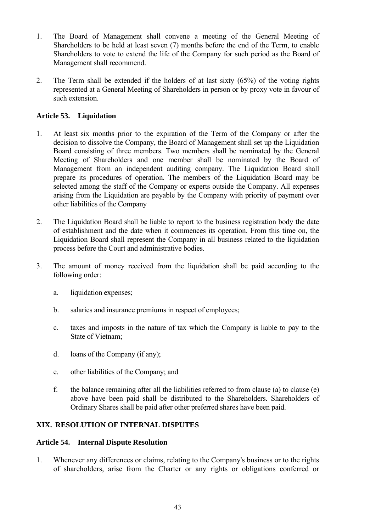- <span id="page-42-0"></span>1. The Board of Management shall convene a meeting of the General Meeting of Shareholders to be held at least seven (7) months before the end of the Term, to enable Shareholders to vote to extend the life of the Company for such period as the Board of Management shall recommend.
- 2. The Term shall be extended if the holders of at last sixty (65%) of the voting rights represented at a General Meeting of Shareholders in person or by proxy vote in favour of such extension.

# **Article 53. Liquidation**

- 1. At least six months prior to the expiration of the Term of the Company or after the decision to dissolve the Company, the Board of Management shall set up the Liquidation Board consisting of three members. Two members shall be nominated by the General Meeting of Shareholders and one member shall be nominated by the Board of Management from an independent auditing company. The Liquidation Board shall prepare its procedures of operation. The members of the Liquidation Board may be selected among the staff of the Company or experts outside the Company. All expenses arising from the Liquidation are payable by the Company with priority of payment over other liabilities of the Company
- 2. The Liquidation Board shall be liable to report to the business registration body the date of establishment and the date when it commences its operation. From this time on, the Liquidation Board shall represent the Company in all business related to the liquidation process before the Court and administrative bodies.
- 3. The amount of money received from the liquidation shall be paid according to the following order:
	- a. liquidation expenses;
	- b. salaries and insurance premiums in respect of employees;
	- c. taxes and imposts in the nature of tax which the Company is liable to pay to the State of Vietnam;
	- d. loans of the Company (if any);
	- e. other liabilities of the Company; and
	- f. the balance remaining after all the liabilities referred to from clause (a) to clause (e) above have been paid shall be distributed to the Shareholders. Shareholders of Ordinary Shares shall be paid after other preferred shares have been paid.

# **XIX. RESOLUTION OF INTERNAL DISPUTES**

#### **Article 54. Internal Dispute Resolution**

1. Whenever any differences or claims, relating to the Company's business or to the rights of shareholders, arise from the Charter or any rights or obligations conferred or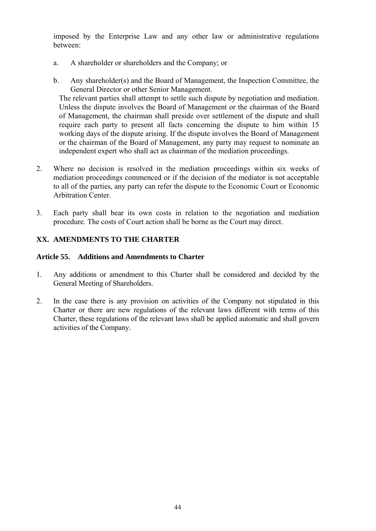<span id="page-43-0"></span>imposed by the Enterprise Law and any other law or administrative regulations between:

- a. A shareholder or shareholders and the Company; or
- b. Any shareholder(s) and the Board of Management, the Inspection Committee, the General Director or other Senior Management.

The relevant parties shall attempt to settle such dispute by negotiation and mediation. Unless the dispute involves the Board of Management or the chairman of the Board of Management, the chairman shall preside over settlement of the dispute and shall require each party to present all facts concerning the dispute to him within 15 working days of the dispute arising. If the dispute involves the Board of Management or the chairman of the Board of Management, any party may request to nominate an independent expert who shall act as chairman of the mediation proceedings.

- 2. Where no decision is resolved in the mediation proceedings within six weeks of mediation proceedings commenced or if the decision of the mediator is not acceptable to all of the parties, any party can refer the dispute to the Economic Court or Economic Arbitration Center.
- 3. Each party shall bear its own costs in relation to the negotiation and mediation procedure. The costs of Court action shall be borne as the Court may direct.

# **XX. AMENDMENTS TO THE CHARTER**

#### **Article 55. Additions and Amendments to Charter**

- 1. Any additions or amendment to this Charter shall be considered and decided by the General Meeting of Shareholders.
- 2. In the case there is any provision on activities of the Company not stipulated in this Charter or there are new regulations of the relevant laws different with terms of this Charter, these regulations of the relevant laws shall be applied automatic and shall govern activities of the Company.